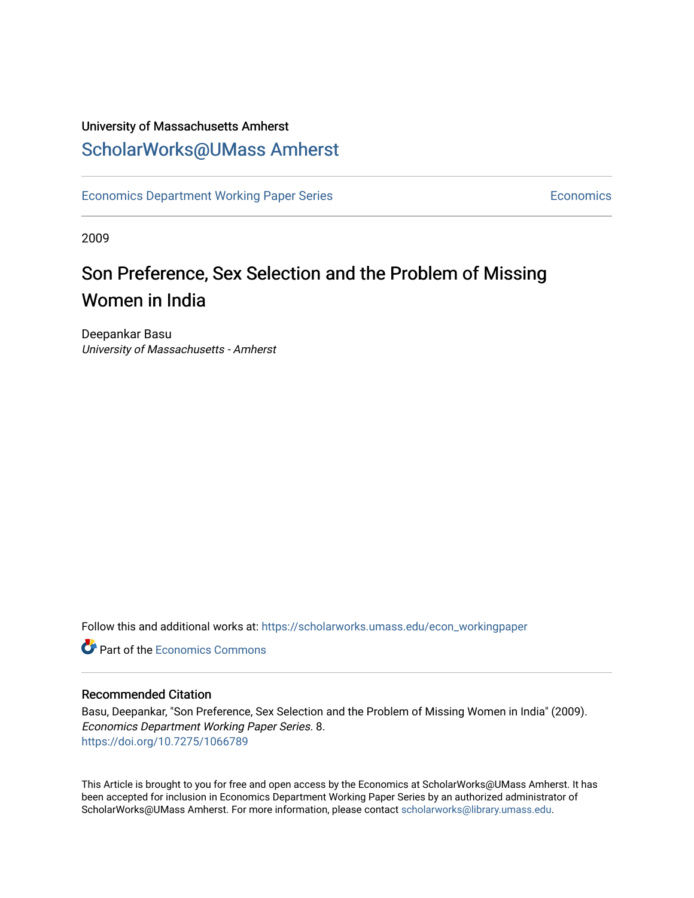## University of Massachusetts Amherst [ScholarWorks@UMass Amherst](https://scholarworks.umass.edu/)

[Economics Department Working Paper Series](https://scholarworks.umass.edu/econ_workingpaper) **Economics** Economics

2009

## Son Preference, Sex Selection and the Problem of Missing Women in India

Deepankar Basu University of Massachusetts - Amherst

Follow this and additional works at: [https://scholarworks.umass.edu/econ\\_workingpaper](https://scholarworks.umass.edu/econ_workingpaper?utm_source=scholarworks.umass.edu%2Fecon_workingpaper%2F8&utm_medium=PDF&utm_campaign=PDFCoverPages) 

**C** Part of the [Economics Commons](http://network.bepress.com/hgg/discipline/340?utm_source=scholarworks.umass.edu%2Fecon_workingpaper%2F8&utm_medium=PDF&utm_campaign=PDFCoverPages)

#### Recommended Citation

Basu, Deepankar, "Son Preference, Sex Selection and the Problem of Missing Women in India" (2009). Economics Department Working Paper Series. 8. <https://doi.org/10.7275/1066789>

This Article is brought to you for free and open access by the Economics at ScholarWorks@UMass Amherst. It has been accepted for inclusion in Economics Department Working Paper Series by an authorized administrator of ScholarWorks@UMass Amherst. For more information, please contact [scholarworks@library.umass.edu.](mailto:scholarworks@library.umass.edu)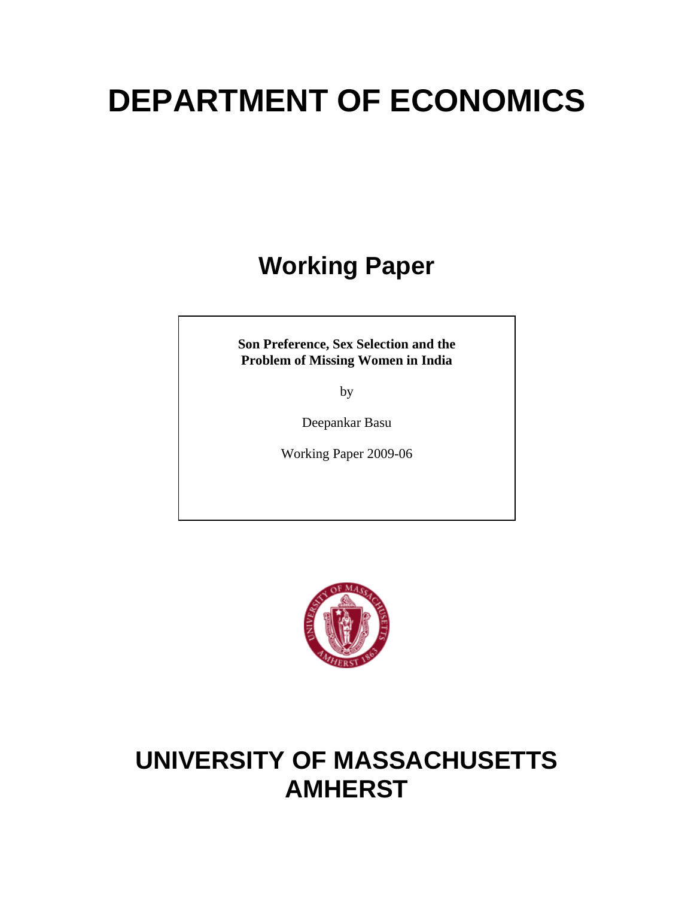# **DEPARTMENT OF ECONOMICS**

## **Working Paper**

**Son Preference, Sex Selection and the Problem of Missing Women in India** 

by

Deepankar Basu

Working Paper 2009-06



## **UNIVERSITY OF MASSACHUSETTS AMHERST**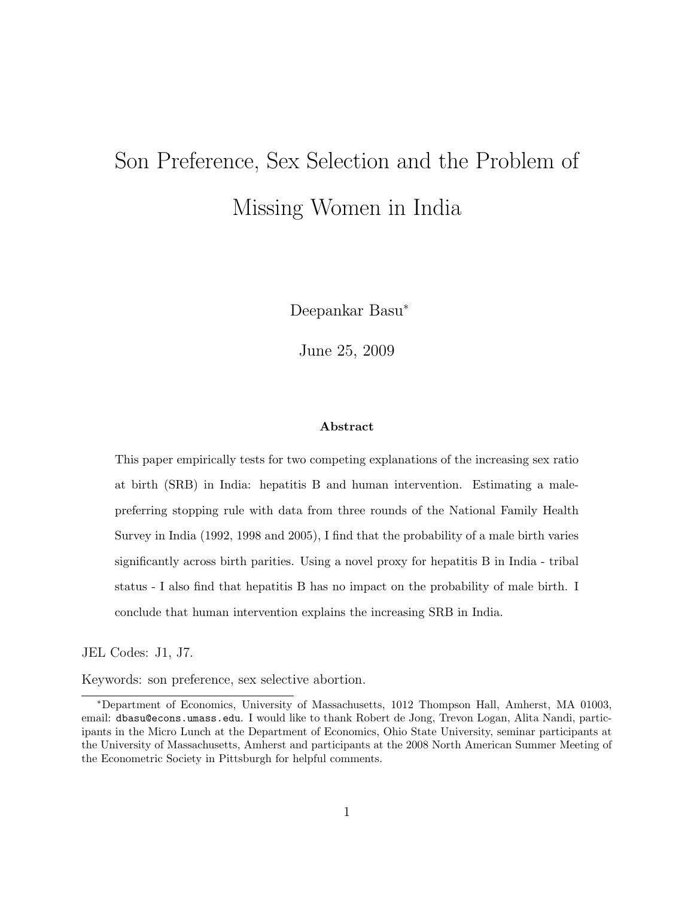# Son Preference, Sex Selection and the Problem of Missing Women in India

Deepankar Basu<sup>∗</sup>

June 25, 2009

#### Abstract

This paper empirically tests for two competing explanations of the increasing sex ratio at birth (SRB) in India: hepatitis B and human intervention. Estimating a malepreferring stopping rule with data from three rounds of the National Family Health Survey in India (1992, 1998 and 2005), I find that the probability of a male birth varies significantly across birth parities. Using a novel proxy for hepatitis B in India - tribal status - I also find that hepatitis B has no impact on the probability of male birth. I conclude that human intervention explains the increasing SRB in India.

JEL Codes: J1, J7.

Keywords: son preference, sex selective abortion.

<sup>∗</sup>Department of Economics, University of Massachusetts, 1012 Thompson Hall, Amherst, MA 01003, email: dbasu@econs.umass.edu. I would like to thank Robert de Jong, Trevon Logan, Alita Nandi, participants in the Micro Lunch at the Department of Economics, Ohio State University, seminar participants at the University of Massachusetts, Amherst and participants at the 2008 North American Summer Meeting of the Econometric Society in Pittsburgh for helpful comments.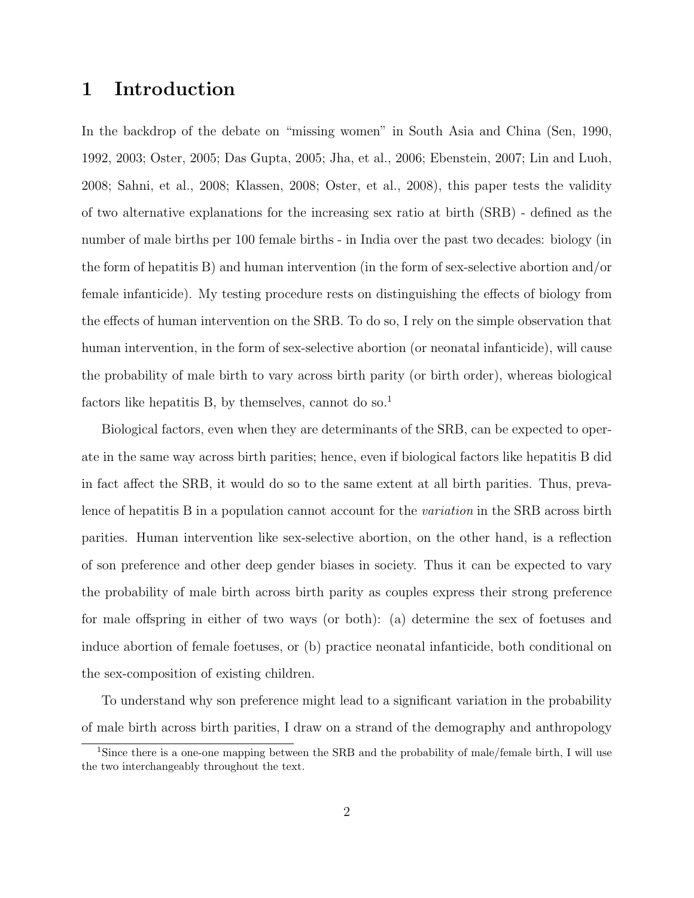## 1 Introduction

In the backdrop of the debate on "missing women" in South Asia and China (Sen, 1990, 1992, 2003; Oster, 2005; Das Gupta, 2005; Jha, et al., 2006; Ebenstein, 2007; Lin and Luoh, 2008; Sahni, et al., 2008; Klassen, 2008; Oster, et al., 2008), this paper tests the validity of two alternative explanations for the increasing sex ratio at birth (SRB) - defined as the number of male births per 100 female births - in India over the past two decades: biology (in the form of hepatitis B) and human intervention (in the form of sex-selective abortion and/or female infanticide). My testing procedure rests on distinguishing the effects of biology from the effects of human intervention on the SRB. To do so, I rely on the simple observation that human intervention, in the form of sex-selective abortion (or neonatal infanticide), will cause the probability of male birth to vary across birth parity (or birth order), whereas biological factors like hepatitis B, by themselves, cannot do so.<sup>1</sup>

Biological factors, even when they are determinants of the SRB, can be expected to operate in the same way across birth parities; hence, even if biological factors like hepatitis B did in fact affect the SRB, it would do so to the same extent at all birth parities. Thus, prevalence of hepatitis B in a population cannot account for the *variation* in the SRB across birth parities. Human intervention like sex-selective abortion, on the other hand, is a reflection of son preference and other deep gender biases in society. Thus it can be expected to vary the probability of male birth across birth parity as couples express their strong preference for male offspring in either of two ways (or both): (a) determine the sex of foetuses and induce abortion of female foetuses, or (b) practice neonatal infanticide, both conditional on the sex-composition of existing children.

To understand why son preference might lead to a significant variation in the probability of male birth across birth parities, I draw on a strand of the demography and anthropology

<sup>&</sup>lt;sup>1</sup>Since there is a one-one mapping between the SRB and the probability of male/female birth, I will use the two interchangeably throughout the text.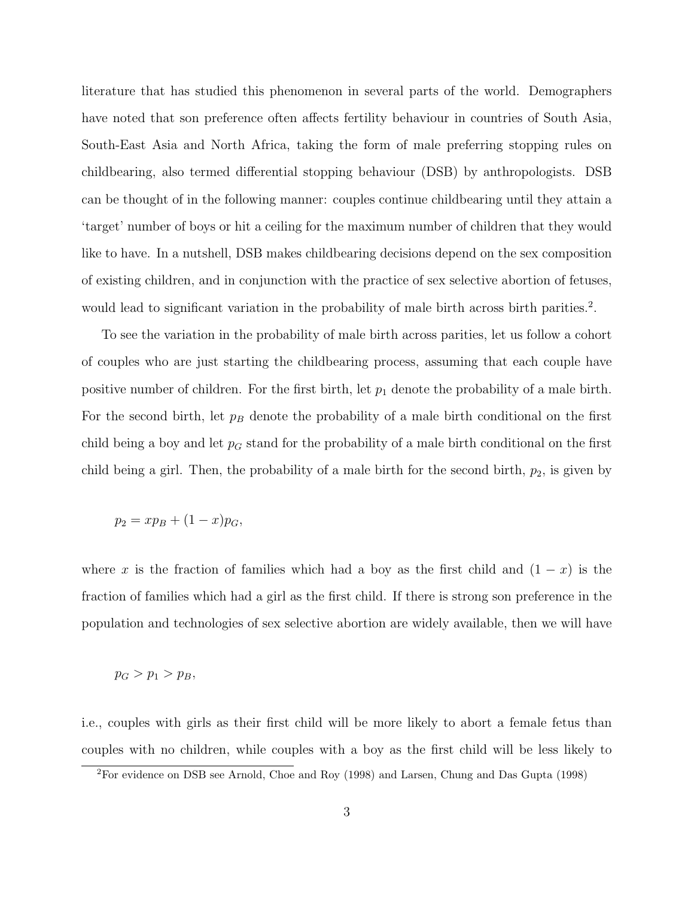literature that has studied this phenomenon in several parts of the world. Demographers have noted that son preference often affects fertility behaviour in countries of South Asia, South-East Asia and North Africa, taking the form of male preferring stopping rules on childbearing, also termed differential stopping behaviour (DSB) by anthropologists. DSB can be thought of in the following manner: couples continue childbearing until they attain a 'target' number of boys or hit a ceiling for the maximum number of children that they would like to have. In a nutshell, DSB makes childbearing decisions depend on the sex composition of existing children, and in conjunction with the practice of sex selective abortion of fetuses, would lead to significant variation in the probability of male birth across birth parities.<sup>2</sup>.

To see the variation in the probability of male birth across parities, let us follow a cohort of couples who are just starting the childbearing process, assuming that each couple have positive number of children. For the first birth, let  $p_1$  denote the probability of a male birth. For the second birth, let  $p_B$  denote the probability of a male birth conditional on the first child being a boy and let  $p_G$  stand for the probability of a male birth conditional on the first child being a girl. Then, the probability of a male birth for the second birth,  $p_2$ , is given by

$$
p_2 = xp_B + (1 - x)p_G,
$$

where x is the fraction of families which had a boy as the first child and  $(1 - x)$  is the fraction of families which had a girl as the first child. If there is strong son preference in the population and technologies of sex selective abortion are widely available, then we will have

#### $p_G > p_1 > p_B,$

i.e., couples with girls as their first child will be more likely to abort a female fetus than couples with no children, while couples with a boy as the first child will be less likely to

<sup>2</sup>For evidence on DSB see Arnold, Choe and Roy (1998) and Larsen, Chung and Das Gupta (1998)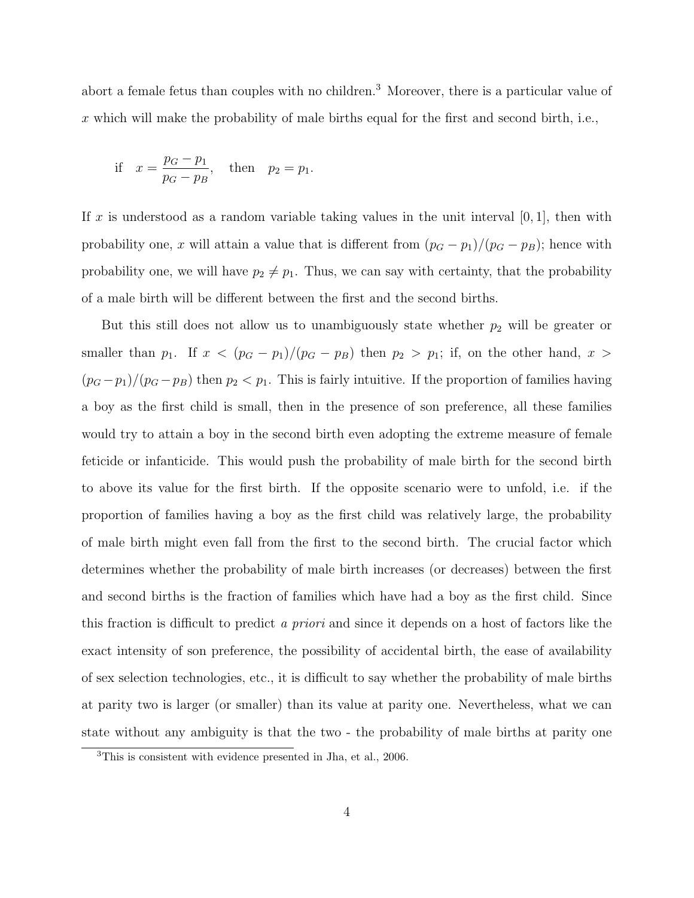abort a female fetus than couples with no children.<sup>3</sup> Moreover, there is a particular value of  $x$  which will make the probability of male births equal for the first and second birth, i.e.,

if 
$$
x = \frac{p_G - p_1}{p_G - p_B}
$$
, then  $p_2 = p_1$ .

If x is understood as a random variable taking values in the unit interval  $[0, 1]$ , then with probability one, x will attain a value that is different from  $(p_G - p_1)/(p_G - p_B)$ ; hence with probability one, we will have  $p_2 \neq p_1$ . Thus, we can say with certainty, that the probability of a male birth will be different between the first and the second births.

But this still does not allow us to unambiguously state whether  $p_2$  will be greater or smaller than  $p_1$ . If  $x < (p_G - p_1)/(p_G - p_B)$  then  $p_2 > p_1$ ; if, on the other hand,  $x >$  $(p_G - p_1)/(p_G - p_B)$  then  $p_2 < p_1$ . This is fairly intuitive. If the proportion of families having a boy as the first child is small, then in the presence of son preference, all these families would try to attain a boy in the second birth even adopting the extreme measure of female feticide or infanticide. This would push the probability of male birth for the second birth to above its value for the first birth. If the opposite scenario were to unfold, i.e. if the proportion of families having a boy as the first child was relatively large, the probability of male birth might even fall from the first to the second birth. The crucial factor which determines whether the probability of male birth increases (or decreases) between the first and second births is the fraction of families which have had a boy as the first child. Since this fraction is difficult to predict a priori and since it depends on a host of factors like the exact intensity of son preference, the possibility of accidental birth, the ease of availability of sex selection technologies, etc., it is difficult to say whether the probability of male births at parity two is larger (or smaller) than its value at parity one. Nevertheless, what we can state without any ambiguity is that the two - the probability of male births at parity one

<sup>3</sup>This is consistent with evidence presented in Jha, et al., 2006.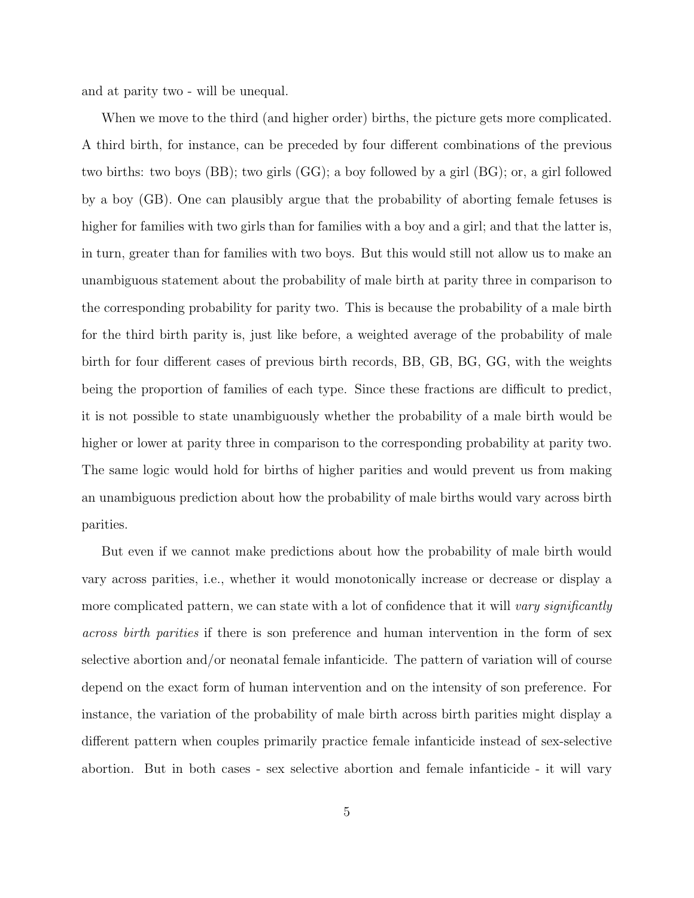and at parity two - will be unequal.

When we move to the third (and higher order) births, the picture gets more complicated. A third birth, for instance, can be preceded by four different combinations of the previous two births: two boys (BB); two girls (GG); a boy followed by a girl (BG); or, a girl followed by a boy (GB). One can plausibly argue that the probability of aborting female fetuses is higher for families with two girls than for families with a boy and a girl; and that the latter is, in turn, greater than for families with two boys. But this would still not allow us to make an unambiguous statement about the probability of male birth at parity three in comparison to the corresponding probability for parity two. This is because the probability of a male birth for the third birth parity is, just like before, a weighted average of the probability of male birth for four different cases of previous birth records, BB, GB, BG, GG, with the weights being the proportion of families of each type. Since these fractions are difficult to predict, it is not possible to state unambiguously whether the probability of a male birth would be higher or lower at parity three in comparison to the corresponding probability at parity two. The same logic would hold for births of higher parities and would prevent us from making an unambiguous prediction about how the probability of male births would vary across birth parities.

But even if we cannot make predictions about how the probability of male birth would vary across parities, i.e., whether it would monotonically increase or decrease or display a more complicated pattern, we can state with a lot of confidence that it will vary significantly across birth parities if there is son preference and human intervention in the form of sex selective abortion and/or neonatal female infanticide. The pattern of variation will of course depend on the exact form of human intervention and on the intensity of son preference. For instance, the variation of the probability of male birth across birth parities might display a different pattern when couples primarily practice female infanticide instead of sex-selective abortion. But in both cases - sex selective abortion and female infanticide - it will vary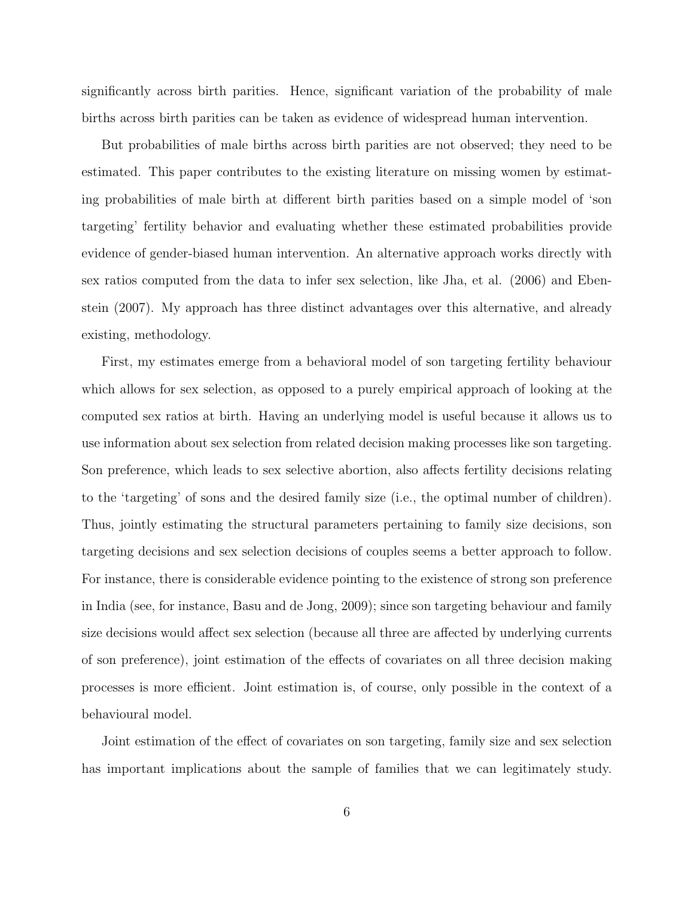significantly across birth parities. Hence, significant variation of the probability of male births across birth parities can be taken as evidence of widespread human intervention.

But probabilities of male births across birth parities are not observed; they need to be estimated. This paper contributes to the existing literature on missing women by estimating probabilities of male birth at different birth parities based on a simple model of 'son targeting' fertility behavior and evaluating whether these estimated probabilities provide evidence of gender-biased human intervention. An alternative approach works directly with sex ratios computed from the data to infer sex selection, like Jha, et al. (2006) and Ebenstein (2007). My approach has three distinct advantages over this alternative, and already existing, methodology.

First, my estimates emerge from a behavioral model of son targeting fertility behaviour which allows for sex selection, as opposed to a purely empirical approach of looking at the computed sex ratios at birth. Having an underlying model is useful because it allows us to use information about sex selection from related decision making processes like son targeting. Son preference, which leads to sex selective abortion, also affects fertility decisions relating to the 'targeting' of sons and the desired family size (i.e., the optimal number of children). Thus, jointly estimating the structural parameters pertaining to family size decisions, son targeting decisions and sex selection decisions of couples seems a better approach to follow. For instance, there is considerable evidence pointing to the existence of strong son preference in India (see, for instance, Basu and de Jong, 2009); since son targeting behaviour and family size decisions would affect sex selection (because all three are affected by underlying currents of son preference), joint estimation of the effects of covariates on all three decision making processes is more efficient. Joint estimation is, of course, only possible in the context of a behavioural model.

Joint estimation of the effect of covariates on son targeting, family size and sex selection has important implications about the sample of families that we can legitimately study.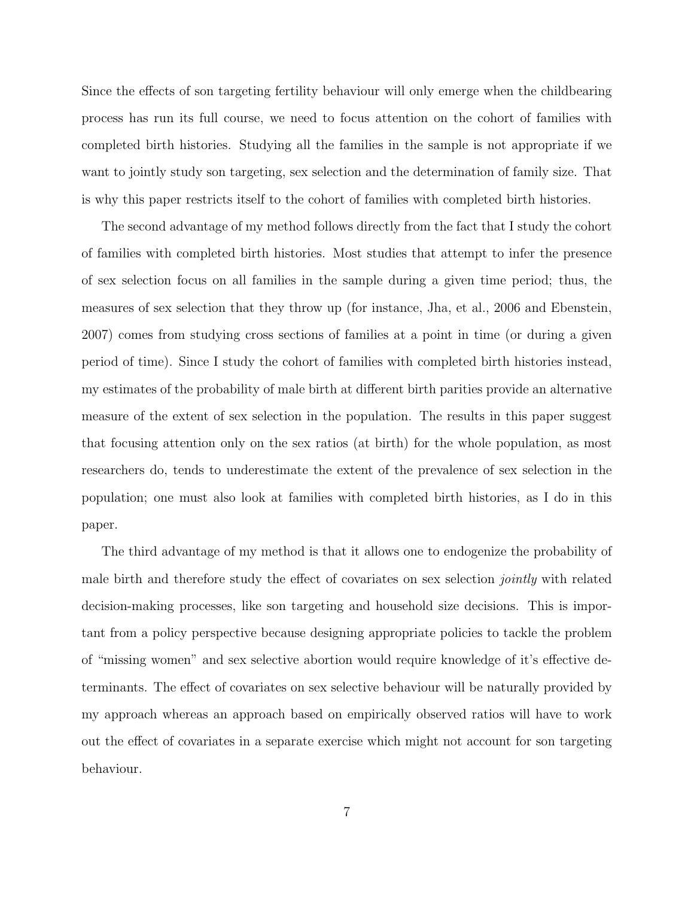Since the effects of son targeting fertility behaviour will only emerge when the childbearing process has run its full course, we need to focus attention on the cohort of families with completed birth histories. Studying all the families in the sample is not appropriate if we want to jointly study son targeting, sex selection and the determination of family size. That is why this paper restricts itself to the cohort of families with completed birth histories.

The second advantage of my method follows directly from the fact that I study the cohort of families with completed birth histories. Most studies that attempt to infer the presence of sex selection focus on all families in the sample during a given time period; thus, the measures of sex selection that they throw up (for instance, Jha, et al., 2006 and Ebenstein, 2007) comes from studying cross sections of families at a point in time (or during a given period of time). Since I study the cohort of families with completed birth histories instead, my estimates of the probability of male birth at different birth parities provide an alternative measure of the extent of sex selection in the population. The results in this paper suggest that focusing attention only on the sex ratios (at birth) for the whole population, as most researchers do, tends to underestimate the extent of the prevalence of sex selection in the population; one must also look at families with completed birth histories, as I do in this paper.

The third advantage of my method is that it allows one to endogenize the probability of male birth and therefore study the effect of covariates on sex selection jointly with related decision-making processes, like son targeting and household size decisions. This is important from a policy perspective because designing appropriate policies to tackle the problem of "missing women" and sex selective abortion would require knowledge of it's effective determinants. The effect of covariates on sex selective behaviour will be naturally provided by my approach whereas an approach based on empirically observed ratios will have to work out the effect of covariates in a separate exercise which might not account for son targeting behaviour.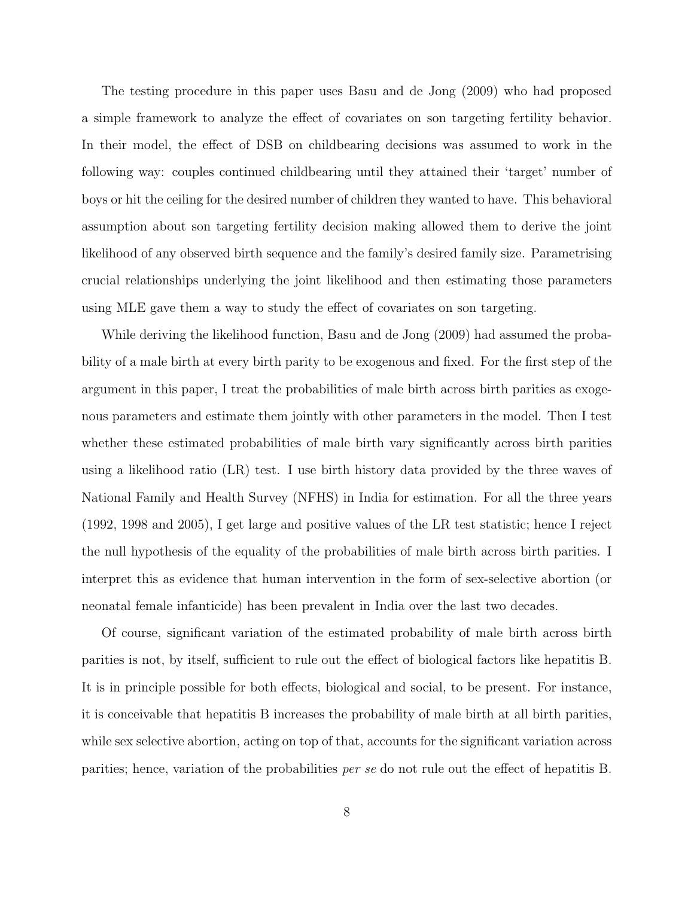The testing procedure in this paper uses Basu and de Jong (2009) who had proposed a simple framework to analyze the effect of covariates on son targeting fertility behavior. In their model, the effect of DSB on childbearing decisions was assumed to work in the following way: couples continued childbearing until they attained their 'target' number of boys or hit the ceiling for the desired number of children they wanted to have. This behavioral assumption about son targeting fertility decision making allowed them to derive the joint likelihood of any observed birth sequence and the family's desired family size. Parametrising crucial relationships underlying the joint likelihood and then estimating those parameters using MLE gave them a way to study the effect of covariates on son targeting.

While deriving the likelihood function, Basu and de Jong (2009) had assumed the probability of a male birth at every birth parity to be exogenous and fixed. For the first step of the argument in this paper, I treat the probabilities of male birth across birth parities as exogenous parameters and estimate them jointly with other parameters in the model. Then I test whether these estimated probabilities of male birth vary significantly across birth parities using a likelihood ratio (LR) test. I use birth history data provided by the three waves of National Family and Health Survey (NFHS) in India for estimation. For all the three years (1992, 1998 and 2005), I get large and positive values of the LR test statistic; hence I reject the null hypothesis of the equality of the probabilities of male birth across birth parities. I interpret this as evidence that human intervention in the form of sex-selective abortion (or neonatal female infanticide) has been prevalent in India over the last two decades.

Of course, significant variation of the estimated probability of male birth across birth parities is not, by itself, sufficient to rule out the effect of biological factors like hepatitis B. It is in principle possible for both effects, biological and social, to be present. For instance, it is conceivable that hepatitis B increases the probability of male birth at all birth parities, while sex selective abortion, acting on top of that, accounts for the significant variation across parities; hence, variation of the probabilities per se do not rule out the effect of hepatitis B.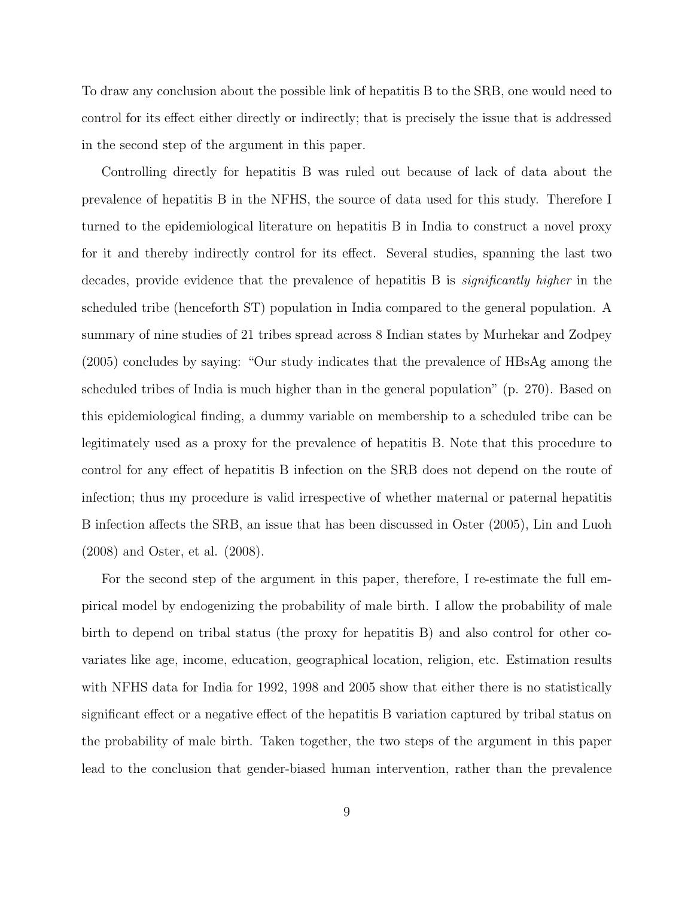To draw any conclusion about the possible link of hepatitis B to the SRB, one would need to control for its effect either directly or indirectly; that is precisely the issue that is addressed in the second step of the argument in this paper.

Controlling directly for hepatitis B was ruled out because of lack of data about the prevalence of hepatitis B in the NFHS, the source of data used for this study. Therefore I turned to the epidemiological literature on hepatitis B in India to construct a novel proxy for it and thereby indirectly control for its effect. Several studies, spanning the last two decades, provide evidence that the prevalence of hepatitis B is significantly higher in the scheduled tribe (henceforth ST) population in India compared to the general population. A summary of nine studies of 21 tribes spread across 8 Indian states by Murhekar and Zodpey (2005) concludes by saying: "Our study indicates that the prevalence of HBsAg among the scheduled tribes of India is much higher than in the general population" (p. 270). Based on this epidemiological finding, a dummy variable on membership to a scheduled tribe can be legitimately used as a proxy for the prevalence of hepatitis B. Note that this procedure to control for any effect of hepatitis B infection on the SRB does not depend on the route of infection; thus my procedure is valid irrespective of whether maternal or paternal hepatitis B infection affects the SRB, an issue that has been discussed in Oster (2005), Lin and Luoh (2008) and Oster, et al. (2008).

For the second step of the argument in this paper, therefore, I re-estimate the full empirical model by endogenizing the probability of male birth. I allow the probability of male birth to depend on tribal status (the proxy for hepatitis B) and also control for other covariates like age, income, education, geographical location, religion, etc. Estimation results with NFHS data for India for 1992, 1998 and 2005 show that either there is no statistically significant effect or a negative effect of the hepatitis B variation captured by tribal status on the probability of male birth. Taken together, the two steps of the argument in this paper lead to the conclusion that gender-biased human intervention, rather than the prevalence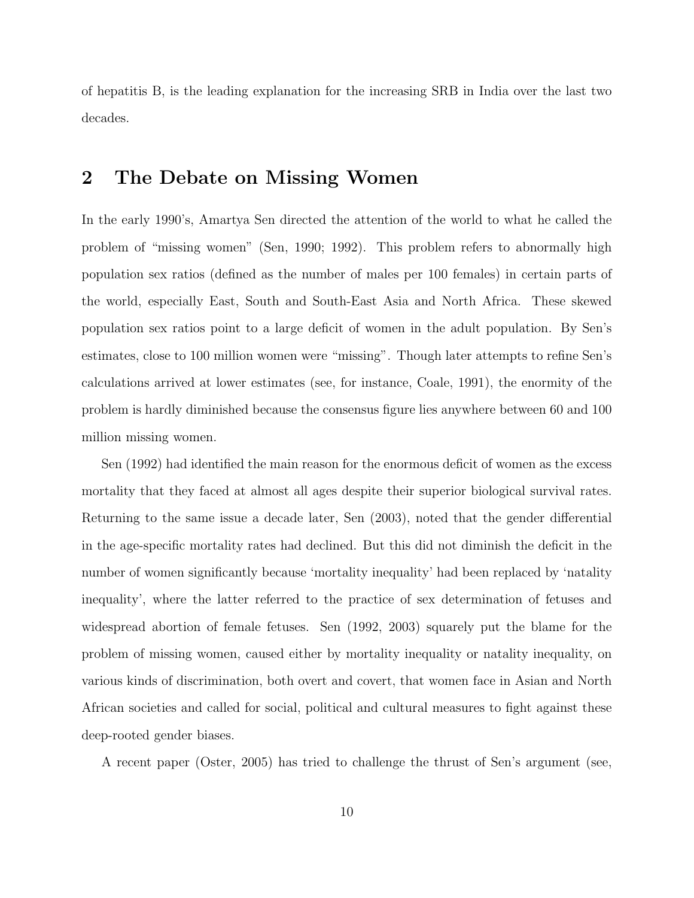of hepatitis B, is the leading explanation for the increasing SRB in India over the last two decades.

## 2 The Debate on Missing Women

In the early 1990's, Amartya Sen directed the attention of the world to what he called the problem of "missing women" (Sen, 1990; 1992). This problem refers to abnormally high population sex ratios (defined as the number of males per 100 females) in certain parts of the world, especially East, South and South-East Asia and North Africa. These skewed population sex ratios point to a large deficit of women in the adult population. By Sen's estimates, close to 100 million women were "missing". Though later attempts to refine Sen's calculations arrived at lower estimates (see, for instance, Coale, 1991), the enormity of the problem is hardly diminished because the consensus figure lies anywhere between 60 and 100 million missing women.

Sen (1992) had identified the main reason for the enormous deficit of women as the excess mortality that they faced at almost all ages despite their superior biological survival rates. Returning to the same issue a decade later, Sen (2003), noted that the gender differential in the age-specific mortality rates had declined. But this did not diminish the deficit in the number of women significantly because 'mortality inequality' had been replaced by 'natality inequality', where the latter referred to the practice of sex determination of fetuses and widespread abortion of female fetuses. Sen (1992, 2003) squarely put the blame for the problem of missing women, caused either by mortality inequality or natality inequality, on various kinds of discrimination, both overt and covert, that women face in Asian and North African societies and called for social, political and cultural measures to fight against these deep-rooted gender biases.

A recent paper (Oster, 2005) has tried to challenge the thrust of Sen's argument (see,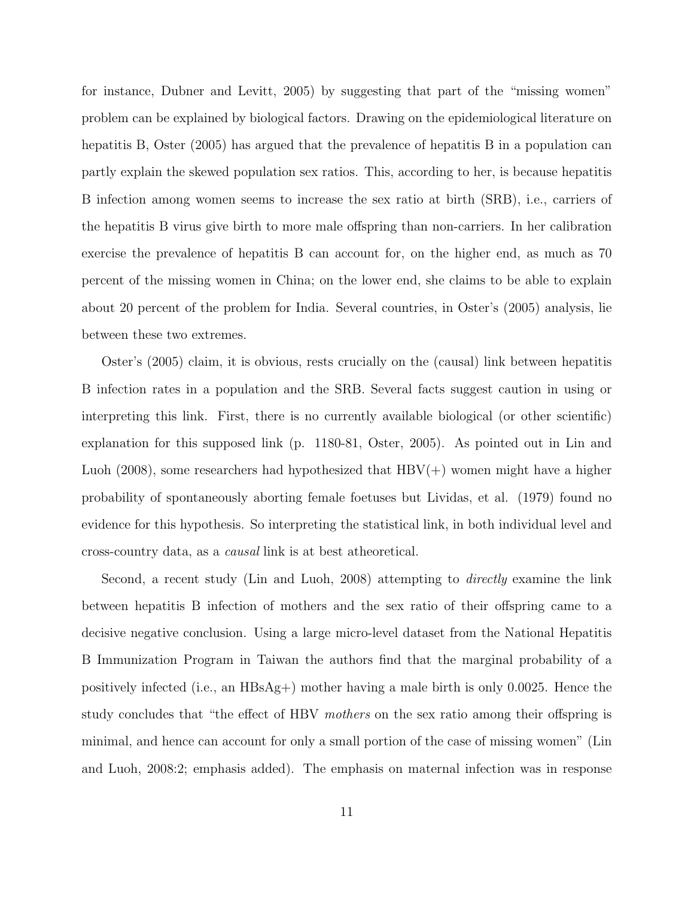for instance, Dubner and Levitt, 2005) by suggesting that part of the "missing women" problem can be explained by biological factors. Drawing on the epidemiological literature on hepatitis B, Oster (2005) has argued that the prevalence of hepatitis B in a population can partly explain the skewed population sex ratios. This, according to her, is because hepatitis B infection among women seems to increase the sex ratio at birth (SRB), i.e., carriers of the hepatitis B virus give birth to more male offspring than non-carriers. In her calibration exercise the prevalence of hepatitis B can account for, on the higher end, as much as 70 percent of the missing women in China; on the lower end, she claims to be able to explain about 20 percent of the problem for India. Several countries, in Oster's (2005) analysis, lie between these two extremes.

Oster's (2005) claim, it is obvious, rests crucially on the (causal) link between hepatitis B infection rates in a population and the SRB. Several facts suggest caution in using or interpreting this link. First, there is no currently available biological (or other scientific) explanation for this supposed link (p. 1180-81, Oster, 2005). As pointed out in Lin and Luoh (2008), some researchers had hypothesized that  $HBV(+)$  women might have a higher probability of spontaneously aborting female foetuses but Lividas, et al. (1979) found no evidence for this hypothesis. So interpreting the statistical link, in both individual level and cross-country data, as a causal link is at best atheoretical.

Second, a recent study (Lin and Luoh, 2008) attempting to *directly* examine the link between hepatitis B infection of mothers and the sex ratio of their offspring came to a decisive negative conclusion. Using a large micro-level dataset from the National Hepatitis B Immunization Program in Taiwan the authors find that the marginal probability of a positively infected (i.e., an  $HBsAg+$ ) mother having a male birth is only 0.0025. Hence the study concludes that "the effect of HBV mothers on the sex ratio among their offspring is minimal, and hence can account for only a small portion of the case of missing women" (Lin and Luoh, 2008:2; emphasis added). The emphasis on maternal infection was in response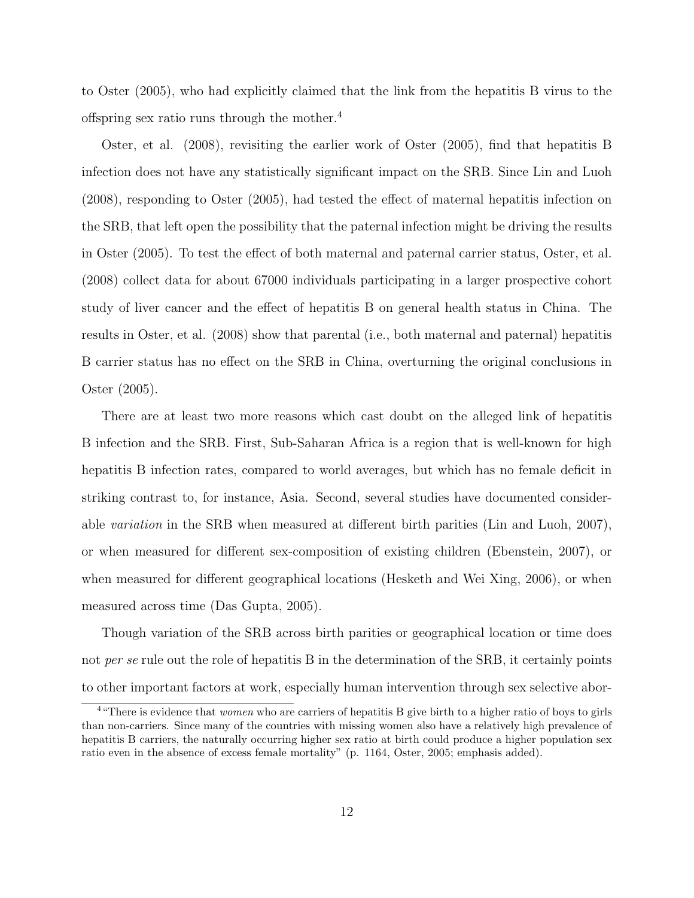to Oster (2005), who had explicitly claimed that the link from the hepatitis B virus to the offspring sex ratio runs through the mother.<sup>4</sup>

Oster, et al. (2008), revisiting the earlier work of Oster (2005), find that hepatitis B infection does not have any statistically significant impact on the SRB. Since Lin and Luoh (2008), responding to Oster (2005), had tested the effect of maternal hepatitis infection on the SRB, that left open the possibility that the paternal infection might be driving the results in Oster (2005). To test the effect of both maternal and paternal carrier status, Oster, et al. (2008) collect data for about 67000 individuals participating in a larger prospective cohort study of liver cancer and the effect of hepatitis B on general health status in China. The results in Oster, et al. (2008) show that parental (i.e., both maternal and paternal) hepatitis B carrier status has no effect on the SRB in China, overturning the original conclusions in Oster (2005).

There are at least two more reasons which cast doubt on the alleged link of hepatitis B infection and the SRB. First, Sub-Saharan Africa is a region that is well-known for high hepatitis B infection rates, compared to world averages, but which has no female deficit in striking contrast to, for instance, Asia. Second, several studies have documented considerable variation in the SRB when measured at different birth parities (Lin and Luoh, 2007), or when measured for different sex-composition of existing children (Ebenstein, 2007), or when measured for different geographical locations (Hesketh and Wei Xing, 2006), or when measured across time (Das Gupta, 2005).

Though variation of the SRB across birth parities or geographical location or time does not *per se* rule out the role of hepatitis B in the determination of the SRB, it certainly points to other important factors at work, especially human intervention through sex selective abor-

<sup>&</sup>lt;sup>4</sup> "There is evidence that *women* who are carriers of hepatitis B give birth to a higher ratio of boys to girls than non-carriers. Since many of the countries with missing women also have a relatively high prevalence of hepatitis B carriers, the naturally occurring higher sex ratio at birth could produce a higher population sex ratio even in the absence of excess female mortality" (p. 1164, Oster, 2005; emphasis added).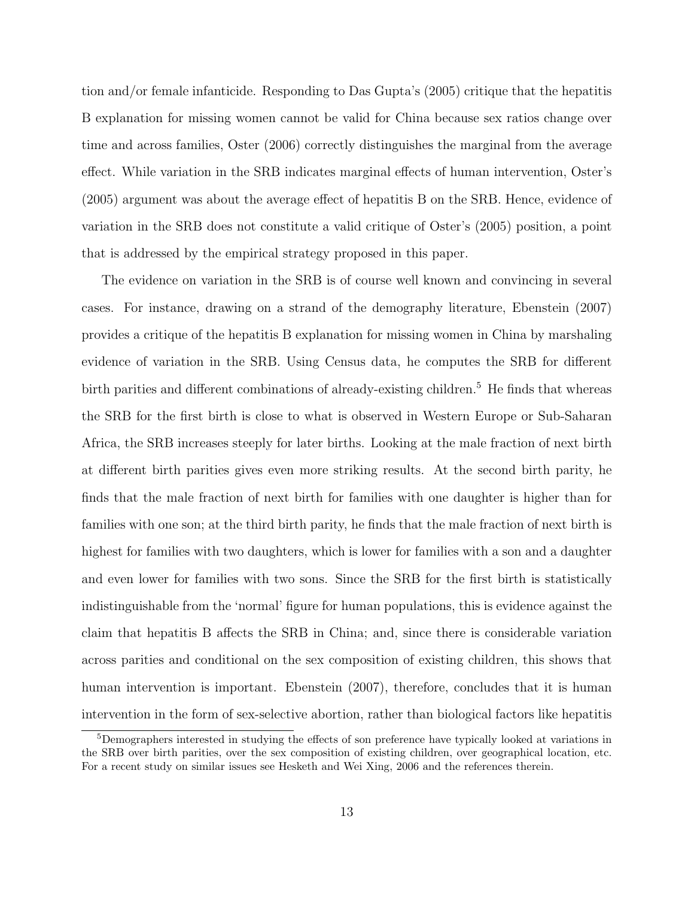tion and/or female infanticide. Responding to Das Gupta's (2005) critique that the hepatitis B explanation for missing women cannot be valid for China because sex ratios change over time and across families, Oster (2006) correctly distinguishes the marginal from the average effect. While variation in the SRB indicates marginal effects of human intervention, Oster's (2005) argument was about the average effect of hepatitis B on the SRB. Hence, evidence of variation in the SRB does not constitute a valid critique of Oster's (2005) position, a point that is addressed by the empirical strategy proposed in this paper.

The evidence on variation in the SRB is of course well known and convincing in several cases. For instance, drawing on a strand of the demography literature, Ebenstein (2007) provides a critique of the hepatitis B explanation for missing women in China by marshaling evidence of variation in the SRB. Using Census data, he computes the SRB for different birth parities and different combinations of already-existing children.<sup>5</sup> He finds that whereas the SRB for the first birth is close to what is observed in Western Europe or Sub-Saharan Africa, the SRB increases steeply for later births. Looking at the male fraction of next birth at different birth parities gives even more striking results. At the second birth parity, he finds that the male fraction of next birth for families with one daughter is higher than for families with one son; at the third birth parity, he finds that the male fraction of next birth is highest for families with two daughters, which is lower for families with a son and a daughter and even lower for families with two sons. Since the SRB for the first birth is statistically indistinguishable from the 'normal' figure for human populations, this is evidence against the claim that hepatitis B affects the SRB in China; and, since there is considerable variation across parities and conditional on the sex composition of existing children, this shows that human intervention is important. Ebenstein (2007), therefore, concludes that it is human intervention in the form of sex-selective abortion, rather than biological factors like hepatitis

<sup>5</sup>Demographers interested in studying the effects of son preference have typically looked at variations in the SRB over birth parities, over the sex composition of existing children, over geographical location, etc. For a recent study on similar issues see Hesketh and Wei Xing, 2006 and the references therein.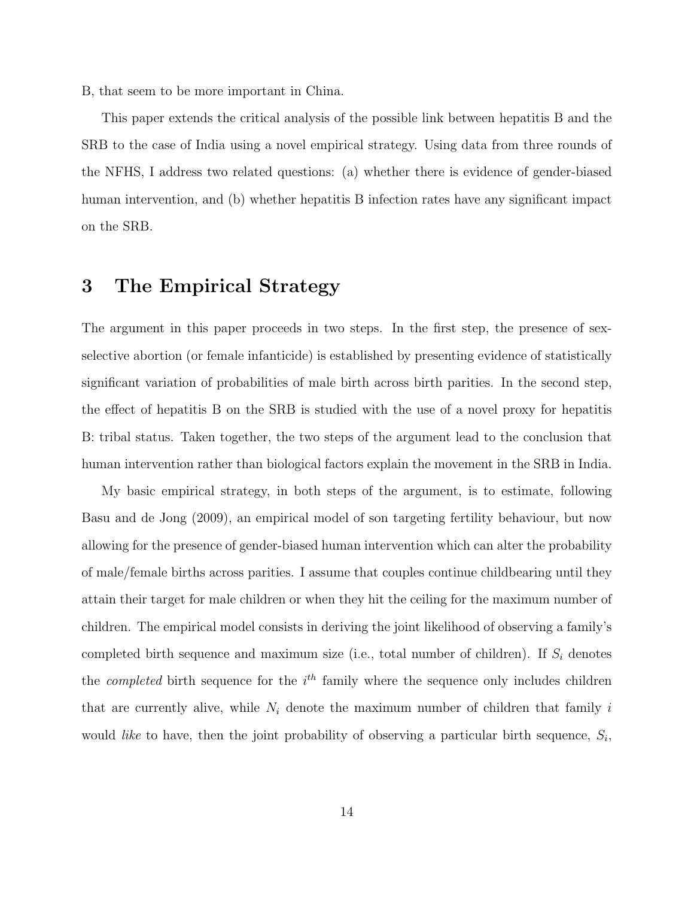B, that seem to be more important in China.

This paper extends the critical analysis of the possible link between hepatitis B and the SRB to the case of India using a novel empirical strategy. Using data from three rounds of the NFHS, I address two related questions: (a) whether there is evidence of gender-biased human intervention, and (b) whether hepatitis B infection rates have any significant impact on the SRB.

## 3 The Empirical Strategy

The argument in this paper proceeds in two steps. In the first step, the presence of sexselective abortion (or female infanticide) is established by presenting evidence of statistically significant variation of probabilities of male birth across birth parities. In the second step, the effect of hepatitis B on the SRB is studied with the use of a novel proxy for hepatitis B: tribal status. Taken together, the two steps of the argument lead to the conclusion that human intervention rather than biological factors explain the movement in the SRB in India.

My basic empirical strategy, in both steps of the argument, is to estimate, following Basu and de Jong (2009), an empirical model of son targeting fertility behaviour, but now allowing for the presence of gender-biased human intervention which can alter the probability of male/female births across parities. I assume that couples continue childbearing until they attain their target for male children or when they hit the ceiling for the maximum number of children. The empirical model consists in deriving the joint likelihood of observing a family's completed birth sequence and maximum size (i.e., total number of children). If  $S_i$  denotes the *completed* birth sequence for the  $i<sup>th</sup>$  family where the sequence only includes children that are currently alive, while  $N_i$  denote the maximum number of children that family i would *like* to have, then the joint probability of observing a particular birth sequence,  $S_i$ ,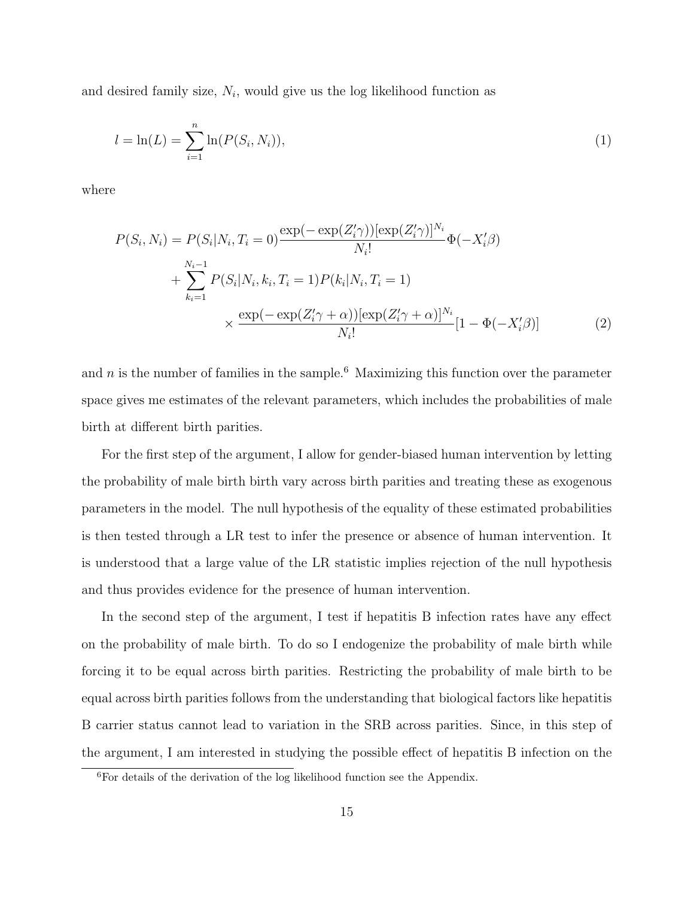and desired family size,  $N_i$ , would give us the log likelihood function as

$$
l = \ln(L) = \sum_{i=1}^{n} \ln(P(S_i, N_i)),
$$
\n(1)

where

$$
P(S_i, N_i) = P(S_i|N_i, T_i = 0) \frac{\exp(-\exp(Z_i'\gamma))[\exp(Z_i'\gamma)]^{N_i}}{N_i!} \Phi(-X_i'\beta)
$$
  
+ 
$$
\sum_{k_i=1}^{N_i-1} P(S_i|N_i, k_i, T_i = 1) P(k_i|N_i, T_i = 1)
$$
  
 
$$
\times \frac{\exp(-\exp(Z_i'\gamma + \alpha))[\exp(Z_i'\gamma + \alpha)]^{N_i}}{N_i!} [1 - \Phi(-X_i'\beta)]
$$
 (2)

and n is the number of families in the sample.<sup>6</sup> Maximizing this function over the parameter space gives me estimates of the relevant parameters, which includes the probabilities of male birth at different birth parities.

For the first step of the argument, I allow for gender-biased human intervention by letting the probability of male birth birth vary across birth parities and treating these as exogenous parameters in the model. The null hypothesis of the equality of these estimated probabilities is then tested through a LR test to infer the presence or absence of human intervention. It is understood that a large value of the LR statistic implies rejection of the null hypothesis and thus provides evidence for the presence of human intervention.

In the second step of the argument, I test if hepatitis B infection rates have any effect on the probability of male birth. To do so I endogenize the probability of male birth while forcing it to be equal across birth parities. Restricting the probability of male birth to be equal across birth parities follows from the understanding that biological factors like hepatitis B carrier status cannot lead to variation in the SRB across parities. Since, in this step of the argument, I am interested in studying the possible effect of hepatitis B infection on the

<sup>6</sup>For details of the derivation of the log likelihood function see the Appendix.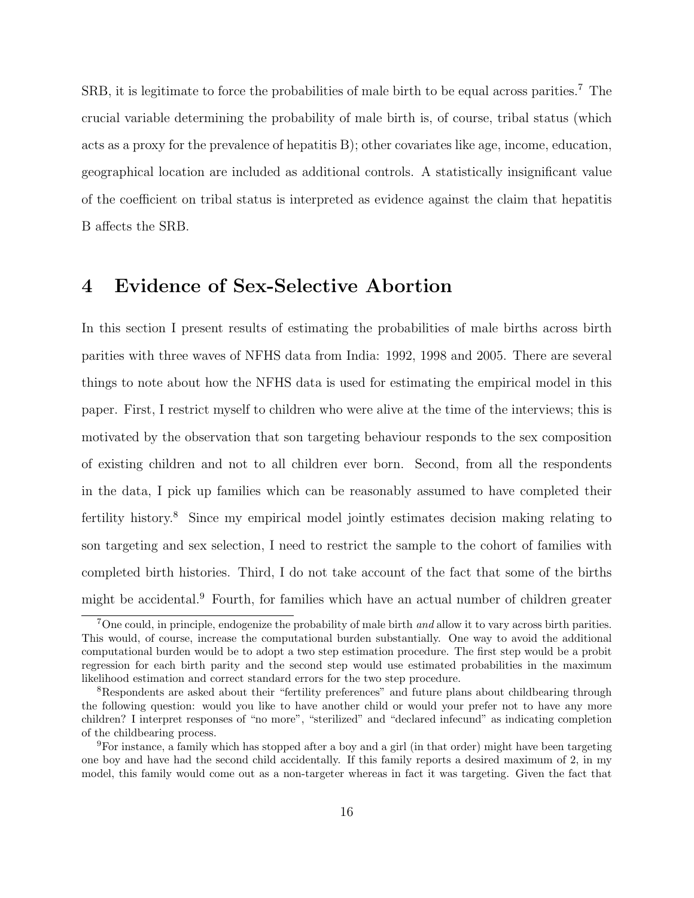SRB, it is legitimate to force the probabilities of male birth to be equal across parities.<sup>7</sup> The crucial variable determining the probability of male birth is, of course, tribal status (which acts as a proxy for the prevalence of hepatitis B); other covariates like age, income, education, geographical location are included as additional controls. A statistically insignificant value of the coefficient on tribal status is interpreted as evidence against the claim that hepatitis B affects the SRB.

## 4 Evidence of Sex-Selective Abortion

In this section I present results of estimating the probabilities of male births across birth parities with three waves of NFHS data from India: 1992, 1998 and 2005. There are several things to note about how the NFHS data is used for estimating the empirical model in this paper. First, I restrict myself to children who were alive at the time of the interviews; this is motivated by the observation that son targeting behaviour responds to the sex composition of existing children and not to all children ever born. Second, from all the respondents in the data, I pick up families which can be reasonably assumed to have completed their fertility history.<sup>8</sup> Since my empirical model jointly estimates decision making relating to son targeting and sex selection, I need to restrict the sample to the cohort of families with completed birth histories. Third, I do not take account of the fact that some of the births might be accidental.<sup>9</sup> Fourth, for families which have an actual number of children greater

<sup>7</sup>One could, in principle, endogenize the probability of male birth and allow it to vary across birth parities. This would, of course, increase the computational burden substantially. One way to avoid the additional computational burden would be to adopt a two step estimation procedure. The first step would be a probit regression for each birth parity and the second step would use estimated probabilities in the maximum likelihood estimation and correct standard errors for the two step procedure.

<sup>&</sup>lt;sup>8</sup>Respondents are asked about their "fertility preferences" and future plans about childbearing through the following question: would you like to have another child or would your prefer not to have any more children? I interpret responses of "no more", "sterilized" and "declared infecund" as indicating completion of the childbearing process.

<sup>9</sup>For instance, a family which has stopped after a boy and a girl (in that order) might have been targeting one boy and have had the second child accidentally. If this family reports a desired maximum of 2, in my model, this family would come out as a non-targeter whereas in fact it was targeting. Given the fact that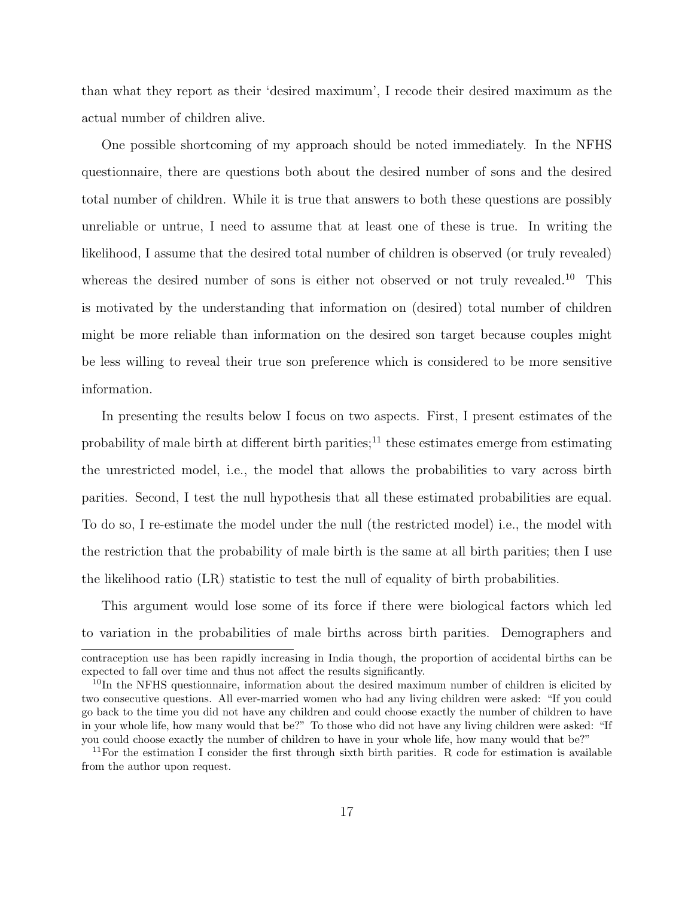than what they report as their 'desired maximum', I recode their desired maximum as the actual number of children alive.

One possible shortcoming of my approach should be noted immediately. In the NFHS questionnaire, there are questions both about the desired number of sons and the desired total number of children. While it is true that answers to both these questions are possibly unreliable or untrue, I need to assume that at least one of these is true. In writing the likelihood, I assume that the desired total number of children is observed (or truly revealed) whereas the desired number of sons is either not observed or not truly revealed.<sup>10</sup> This is motivated by the understanding that information on (desired) total number of children might be more reliable than information on the desired son target because couples might be less willing to reveal their true son preference which is considered to be more sensitive information.

In presenting the results below I focus on two aspects. First, I present estimates of the probability of male birth at different birth parities;<sup>11</sup> these estimates emerge from estimating the unrestricted model, i.e., the model that allows the probabilities to vary across birth parities. Second, I test the null hypothesis that all these estimated probabilities are equal. To do so, I re-estimate the model under the null (the restricted model) i.e., the model with the restriction that the probability of male birth is the same at all birth parities; then I use the likelihood ratio (LR) statistic to test the null of equality of birth probabilities.

This argument would lose some of its force if there were biological factors which led to variation in the probabilities of male births across birth parities. Demographers and

contraception use has been rapidly increasing in India though, the proportion of accidental births can be expected to fall over time and thus not affect the results significantly.

 $10$ In the NFHS questionnaire, information about the desired maximum number of children is elicited by two consecutive questions. All ever-married women who had any living children were asked: "If you could go back to the time you did not have any children and could choose exactly the number of children to have in your whole life, how many would that be?" To those who did not have any living children were asked: "If you could choose exactly the number of children to have in your whole life, how many would that be?"

 $11$ For the estimation I consider the first through sixth birth parities. R code for estimation is available from the author upon request.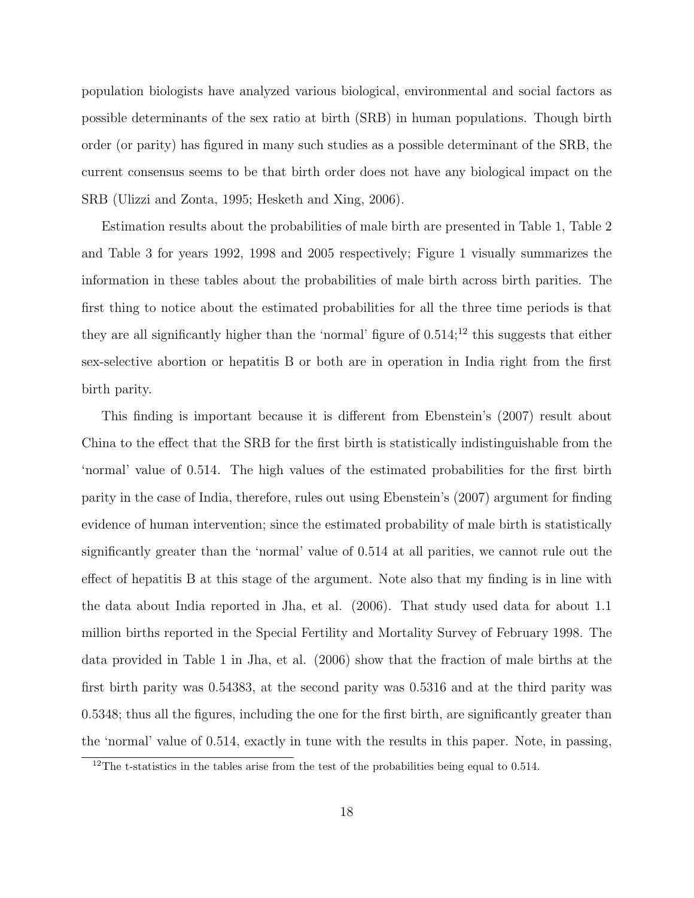population biologists have analyzed various biological, environmental and social factors as possible determinants of the sex ratio at birth (SRB) in human populations. Though birth order (or parity) has figured in many such studies as a possible determinant of the SRB, the current consensus seems to be that birth order does not have any biological impact on the SRB (Ulizzi and Zonta, 1995; Hesketh and Xing, 2006).

Estimation results about the probabilities of male birth are presented in Table 1, Table 2 and Table 3 for years 1992, 1998 and 2005 respectively; Figure 1 visually summarizes the information in these tables about the probabilities of male birth across birth parities. The first thing to notice about the estimated probabilities for all the three time periods is that they are all significantly higher than the 'normal' figure of  $0.514$ ;<sup>12</sup> this suggests that either sex-selective abortion or hepatitis B or both are in operation in India right from the first birth parity.

This finding is important because it is different from Ebenstein's (2007) result about China to the effect that the SRB for the first birth is statistically indistinguishable from the 'normal' value of 0.514. The high values of the estimated probabilities for the first birth parity in the case of India, therefore, rules out using Ebenstein's (2007) argument for finding evidence of human intervention; since the estimated probability of male birth is statistically significantly greater than the 'normal' value of 0.514 at all parities, we cannot rule out the effect of hepatitis B at this stage of the argument. Note also that my finding is in line with the data about India reported in Jha, et al. (2006). That study used data for about 1.1 million births reported in the Special Fertility and Mortality Survey of February 1998. The data provided in Table 1 in Jha, et al. (2006) show that the fraction of male births at the first birth parity was 0.54383, at the second parity was 0.5316 and at the third parity was 0.5348; thus all the figures, including the one for the first birth, are significantly greater than the 'normal' value of 0.514, exactly in tune with the results in this paper. Note, in passing,

 $^{12}\mathrm{The}$  t-statistics in the tables arise from the test of the probabilities being equal to 0.514.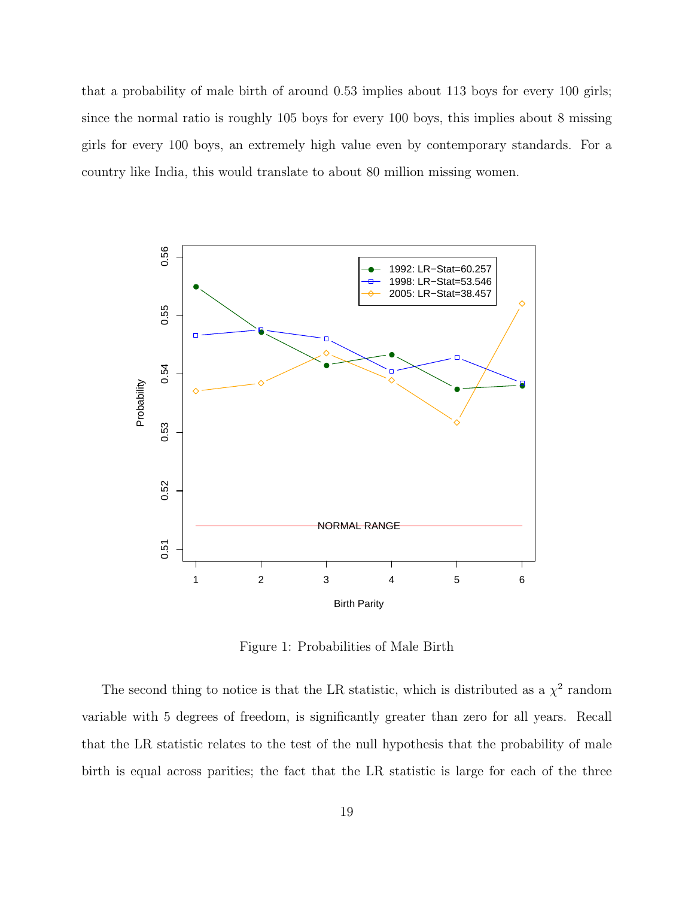that a probability of male birth of around 0.53 implies about 113 boys for every 100 girls; since the normal ratio is roughly 105 boys for every 100 boys, this implies about 8 missing girls for every 100 boys, an extremely high value even by contemporary standards. For a country like India, this would translate to about 80 million missing women.



Figure 1: Probabilities of Male Birth

The second thing to notice is that the LR statistic, which is distributed as a  $\chi^2$  random variable with 5 degrees of freedom, is significantly greater than zero for all years. Recall that the LR statistic relates to the test of the null hypothesis that the probability of male birth is equal across parities; the fact that the LR statistic is large for each of the three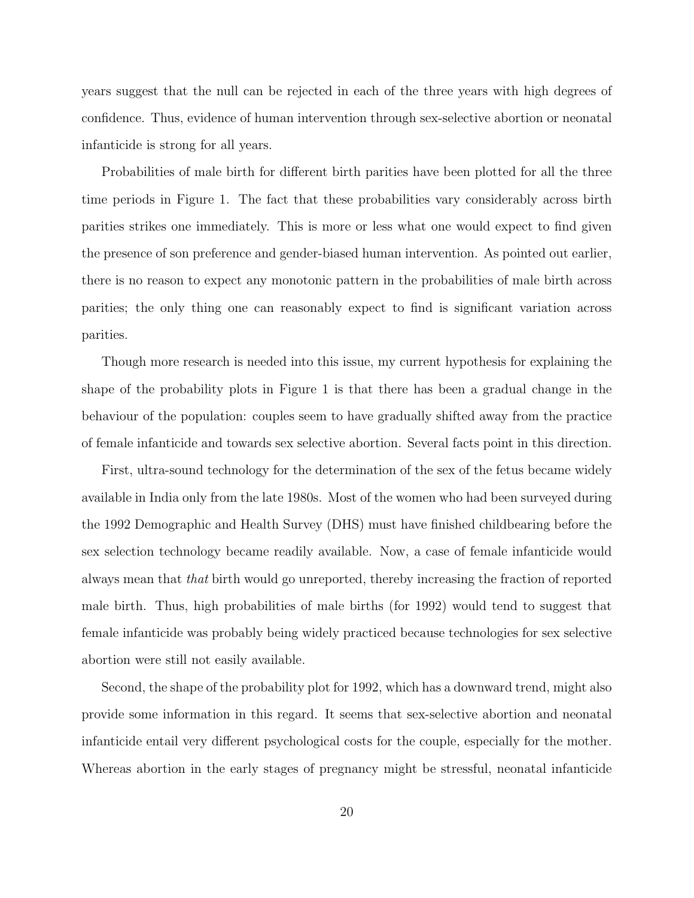years suggest that the null can be rejected in each of the three years with high degrees of confidence. Thus, evidence of human intervention through sex-selective abortion or neonatal infanticide is strong for all years.

Probabilities of male birth for different birth parities have been plotted for all the three time periods in Figure 1. The fact that these probabilities vary considerably across birth parities strikes one immediately. This is more or less what one would expect to find given the presence of son preference and gender-biased human intervention. As pointed out earlier, there is no reason to expect any monotonic pattern in the probabilities of male birth across parities; the only thing one can reasonably expect to find is significant variation across parities.

Though more research is needed into this issue, my current hypothesis for explaining the shape of the probability plots in Figure 1 is that there has been a gradual change in the behaviour of the population: couples seem to have gradually shifted away from the practice of female infanticide and towards sex selective abortion. Several facts point in this direction.

First, ultra-sound technology for the determination of the sex of the fetus became widely available in India only from the late 1980s. Most of the women who had been surveyed during the 1992 Demographic and Health Survey (DHS) must have finished childbearing before the sex selection technology became readily available. Now, a case of female infanticide would always mean that that birth would go unreported, thereby increasing the fraction of reported male birth. Thus, high probabilities of male births (for 1992) would tend to suggest that female infanticide was probably being widely practiced because technologies for sex selective abortion were still not easily available.

Second, the shape of the probability plot for 1992, which has a downward trend, might also provide some information in this regard. It seems that sex-selective abortion and neonatal infanticide entail very different psychological costs for the couple, especially for the mother. Whereas abortion in the early stages of pregnancy might be stressful, neonatal infanticide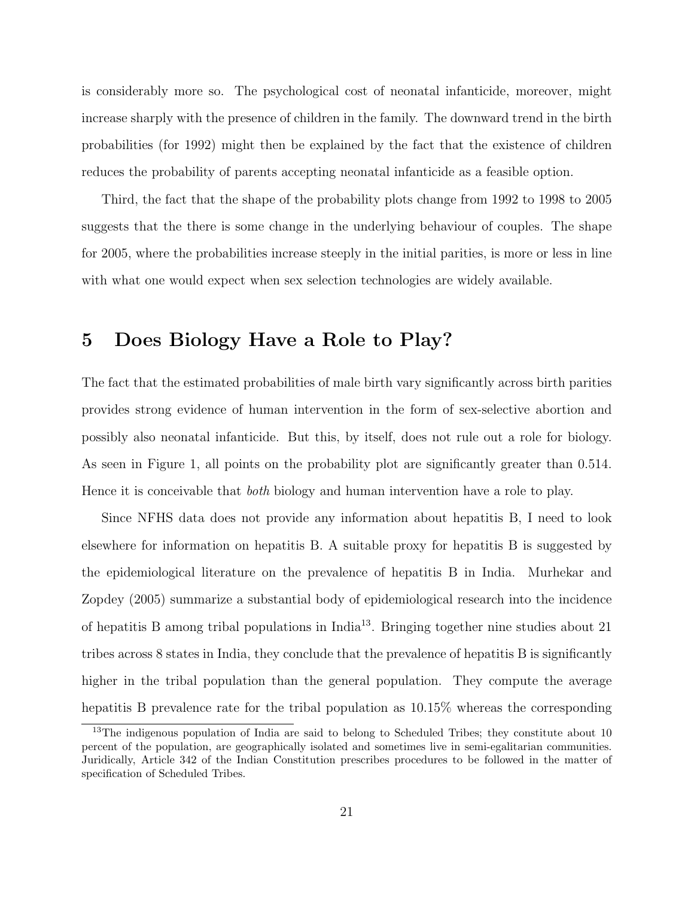is considerably more so. The psychological cost of neonatal infanticide, moreover, might increase sharply with the presence of children in the family. The downward trend in the birth probabilities (for 1992) might then be explained by the fact that the existence of children reduces the probability of parents accepting neonatal infanticide as a feasible option.

Third, the fact that the shape of the probability plots change from 1992 to 1998 to 2005 suggests that the there is some change in the underlying behaviour of couples. The shape for 2005, where the probabilities increase steeply in the initial parities, is more or less in line with what one would expect when sex selection technologies are widely available.

## 5 Does Biology Have a Role to Play?

The fact that the estimated probabilities of male birth vary significantly across birth parities provides strong evidence of human intervention in the form of sex-selective abortion and possibly also neonatal infanticide. But this, by itself, does not rule out a role for biology. As seen in Figure 1, all points on the probability plot are significantly greater than 0.514. Hence it is conceivable that both biology and human intervention have a role to play.

Since NFHS data does not provide any information about hepatitis B, I need to look elsewhere for information on hepatitis B. A suitable proxy for hepatitis B is suggested by the epidemiological literature on the prevalence of hepatitis B in India. Murhekar and Zopdey (2005) summarize a substantial body of epidemiological research into the incidence of hepatitis B among tribal populations in India<sup>13</sup>. Bringing together nine studies about 21 tribes across 8 states in India, they conclude that the prevalence of hepatitis B is significantly higher in the tribal population than the general population. They compute the average hepatitis B prevalence rate for the tribal population as 10.15% whereas the corresponding

<sup>&</sup>lt;sup>13</sup>The indigenous population of India are said to belong to Scheduled Tribes; they constitute about 10 percent of the population, are geographically isolated and sometimes live in semi-egalitarian communities. Juridically, Article 342 of the Indian Constitution prescribes procedures to be followed in the matter of specification of Scheduled Tribes.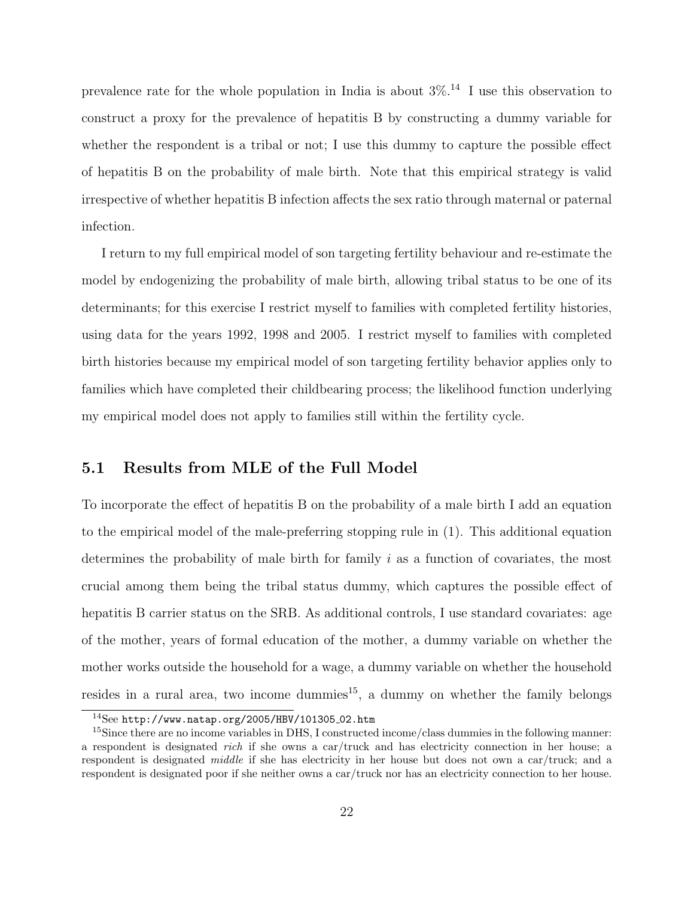prevalence rate for the whole population in India is about  $3\%$ <sup>14</sup> I use this observation to construct a proxy for the prevalence of hepatitis B by constructing a dummy variable for whether the respondent is a tribal or not; I use this dummy to capture the possible effect of hepatitis B on the probability of male birth. Note that this empirical strategy is valid irrespective of whether hepatitis B infection affects the sex ratio through maternal or paternal infection.

I return to my full empirical model of son targeting fertility behaviour and re-estimate the model by endogenizing the probability of male birth, allowing tribal status to be one of its determinants; for this exercise I restrict myself to families with completed fertility histories, using data for the years 1992, 1998 and 2005. I restrict myself to families with completed birth histories because my empirical model of son targeting fertility behavior applies only to families which have completed their childbearing process; the likelihood function underlying my empirical model does not apply to families still within the fertility cycle.

#### 5.1 Results from MLE of the Full Model

To incorporate the effect of hepatitis B on the probability of a male birth I add an equation to the empirical model of the male-preferring stopping rule in (1). This additional equation determines the probability of male birth for family i as a function of covariates, the most crucial among them being the tribal status dummy, which captures the possible effect of hepatitis B carrier status on the SRB. As additional controls, I use standard covariates: age of the mother, years of formal education of the mother, a dummy variable on whether the mother works outside the household for a wage, a dummy variable on whether the household resides in a rural area, two income dummies $15$ , a dummy on whether the family belongs

 $14$ See http://www.natap.org/2005/HBV/101305\_02.htm

<sup>&</sup>lt;sup>15</sup>Since there are no income variables in DHS, I constructed income/class dummies in the following manner: a respondent is designated rich if she owns a car/truck and has electricity connection in her house; a respondent is designated middle if she has electricity in her house but does not own a car/truck; and a respondent is designated poor if she neither owns a car/truck nor has an electricity connection to her house.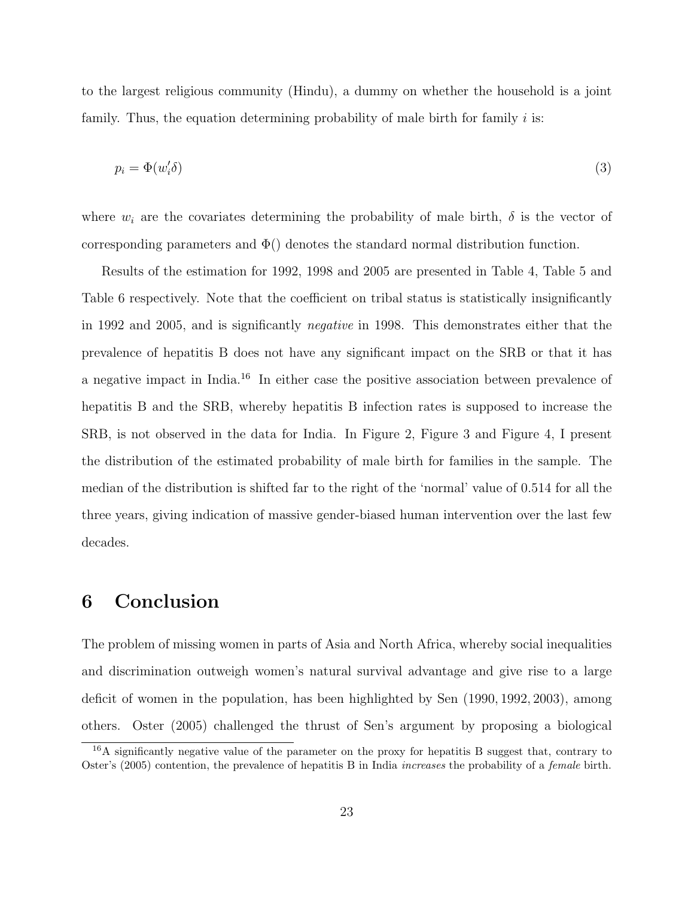to the largest religious community (Hindu), a dummy on whether the household is a joint family. Thus, the equation determining probability of male birth for family  $i$  is:

$$
p_i = \Phi(w_i' \delta) \tag{3}
$$

where  $w_i$  are the covariates determining the probability of male birth,  $\delta$  is the vector of corresponding parameters and  $\Phi()$  denotes the standard normal distribution function.

Results of the estimation for 1992, 1998 and 2005 are presented in Table 4, Table 5 and Table 6 respectively. Note that the coefficient on tribal status is statistically insignificantly in 1992 and 2005, and is significantly negative in 1998. This demonstrates either that the prevalence of hepatitis B does not have any significant impact on the SRB or that it has a negative impact in India.<sup>16</sup> In either case the positive association between prevalence of hepatitis B and the SRB, whereby hepatitis B infection rates is supposed to increase the SRB, is not observed in the data for India. In Figure 2, Figure 3 and Figure 4, I present the distribution of the estimated probability of male birth for families in the sample. The median of the distribution is shifted far to the right of the 'normal' value of 0.514 for all the three years, giving indication of massive gender-biased human intervention over the last few decades.

### 6 Conclusion

The problem of missing women in parts of Asia and North Africa, whereby social inequalities and discrimination outweigh women's natural survival advantage and give rise to a large deficit of women in the population, has been highlighted by Sen (1990, 1992, 2003), among others. Oster (2005) challenged the thrust of Sen's argument by proposing a biological

 $16A$  significantly negative value of the parameter on the proxy for hepatitis B suggest that, contrary to Oster's (2005) contention, the prevalence of hepatitis B in India increases the probability of a female birth.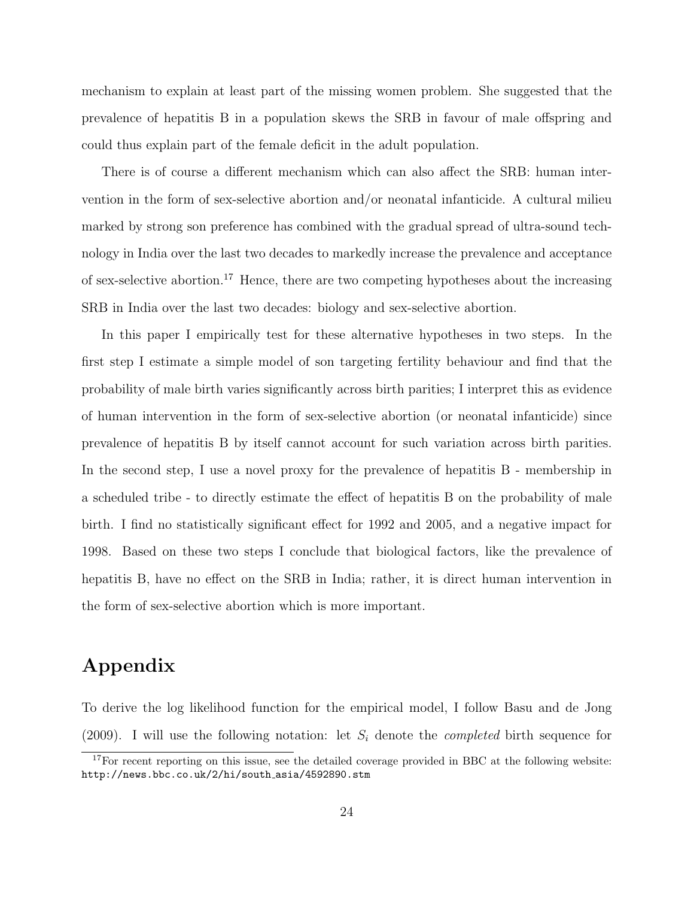mechanism to explain at least part of the missing women problem. She suggested that the prevalence of hepatitis B in a population skews the SRB in favour of male offspring and could thus explain part of the female deficit in the adult population.

There is of course a different mechanism which can also affect the SRB: human intervention in the form of sex-selective abortion and/or neonatal infanticide. A cultural milieu marked by strong son preference has combined with the gradual spread of ultra-sound technology in India over the last two decades to markedly increase the prevalence and acceptance of sex-selective abortion.<sup>17</sup> Hence, there are two competing hypotheses about the increasing SRB in India over the last two decades: biology and sex-selective abortion.

In this paper I empirically test for these alternative hypotheses in two steps. In the first step I estimate a simple model of son targeting fertility behaviour and find that the probability of male birth varies significantly across birth parities; I interpret this as evidence of human intervention in the form of sex-selective abortion (or neonatal infanticide) since prevalence of hepatitis B by itself cannot account for such variation across birth parities. In the second step, I use a novel proxy for the prevalence of hepatitis B - membership in a scheduled tribe - to directly estimate the effect of hepatitis B on the probability of male birth. I find no statistically significant effect for 1992 and 2005, and a negative impact for 1998. Based on these two steps I conclude that biological factors, like the prevalence of hepatitis B, have no effect on the SRB in India; rather, it is direct human intervention in the form of sex-selective abortion which is more important.

## Appendix

To derive the log likelihood function for the empirical model, I follow Basu and de Jong (2009). I will use the following notation: let  $S_i$  denote the *completed* birth sequence for

 $17$ For recent reporting on this issue, see the detailed coverage provided in BBC at the following website: http://news.bbc.co.uk/2/hi/south asia/4592890.stm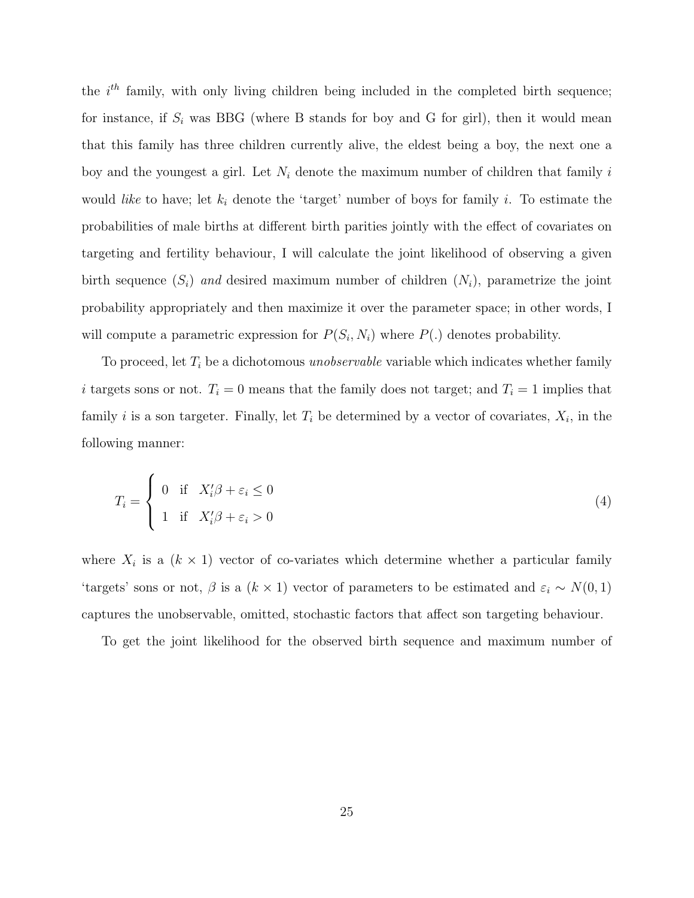the  $i<sup>th</sup>$  family, with only living children being included in the completed birth sequence; for instance, if  $S_i$  was BBG (where B stands for boy and G for girl), then it would mean that this family has three children currently alive, the eldest being a boy, the next one a boy and the youngest a girl. Let  $N_i$  denote the maximum number of children that family i would *like* to have; let  $k_i$  denote the 'target' number of boys for family i. To estimate the probabilities of male births at different birth parities jointly with the effect of covariates on targeting and fertility behaviour, I will calculate the joint likelihood of observing a given birth sequence  $(S_i)$  and desired maximum number of children  $(N_i)$ , parametrize the joint probability appropriately and then maximize it over the parameter space; in other words, I will compute a parametric expression for  $P(S_i, N_i)$  where  $P(.)$  denotes probability.

To proceed, let  $T_i$  be a dichotomous *unobservable* variable which indicates whether family i targets sons or not.  $T_i = 0$  means that the family does not target; and  $T_i = 1$  implies that family *i* is a son targeter. Finally, let  $T_i$  be determined by a vector of covariates,  $X_i$ , in the following manner:

$$
T_i = \begin{cases} 0 & \text{if } X_i' \beta + \varepsilon_i \le 0 \\ 1 & \text{if } X_i' \beta + \varepsilon_i > 0 \end{cases}
$$
 (4)

where  $X_i$  is a  $(k \times 1)$  vector of co-variates which determine whether a particular family 'targets' sons or not,  $\beta$  is a  $(k \times 1)$  vector of parameters to be estimated and  $\varepsilon_i \sim N(0, 1)$ captures the unobservable, omitted, stochastic factors that affect son targeting behaviour.

To get the joint likelihood for the observed birth sequence and maximum number of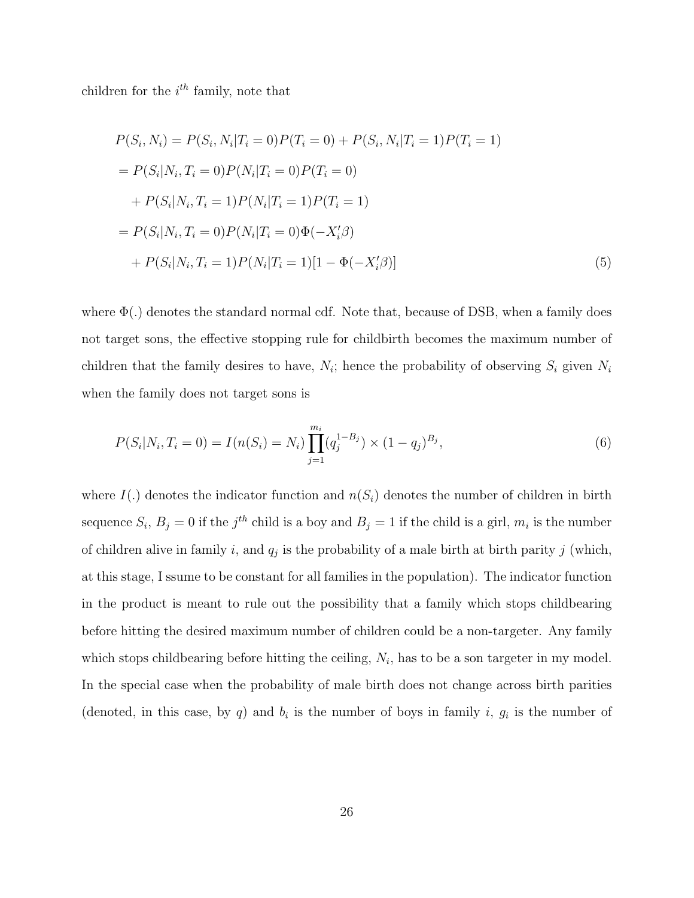children for the  $i^{th}$  family, note that

$$
P(S_i, N_i) = P(S_i, N_i | T_i = 0)P(T_i = 0) + P(S_i, N_i | T_i = 1)P(T_i = 1)
$$
  
=  $P(S_i | N_i, T_i = 0)P(N_i | T_i = 0)P(T_i = 0)$   
+  $P(S_i | N_i, T_i = 1)P(N_i | T_i = 1)P(T_i = 1)$   
=  $P(S_i | N_i, T_i = 0)P(N_i | T_i = 0) \Phi(-X_i' \beta)$   
+  $P(S_i | N_i, T_i = 1)P(N_i | T_i = 1)[1 - \Phi(-X_i' \beta)]$  (5)

where  $\Phi(.)$  denotes the standard normal cdf. Note that, because of DSB, when a family does not target sons, the effective stopping rule for childbirth becomes the maximum number of children that the family desires to have,  $N_i$ ; hence the probability of observing  $S_i$  given  $N_i$ when the family does not target sons is

$$
P(S_i|N_i, T_i = 0) = I(n(S_i) = N_i) \prod_{j=1}^{m_i} (q_j^{1-B_j}) \times (1-q_j)^{B_j}, \tag{6}
$$

where  $I(.)$  denotes the indicator function and  $n(S<sub>i</sub>)$  denotes the number of children in birth sequence  $S_i$ ,  $B_j = 0$  if the  $j<sup>th</sup>$  child is a boy and  $B_j = 1$  if the child is a girl,  $m_i$  is the number of children alive in family i, and  $q_j$  is the probability of a male birth at birth parity j (which, at this stage, I ssume to be constant for all families in the population). The indicator function in the product is meant to rule out the possibility that a family which stops childbearing before hitting the desired maximum number of children could be a non-targeter. Any family which stops childbearing before hitting the ceiling,  $N_i$ , has to be a son targeter in my model. In the special case when the probability of male birth does not change across birth parities (denoted, in this case, by q) and  $b_i$  is the number of boys in family i,  $g_i$  is the number of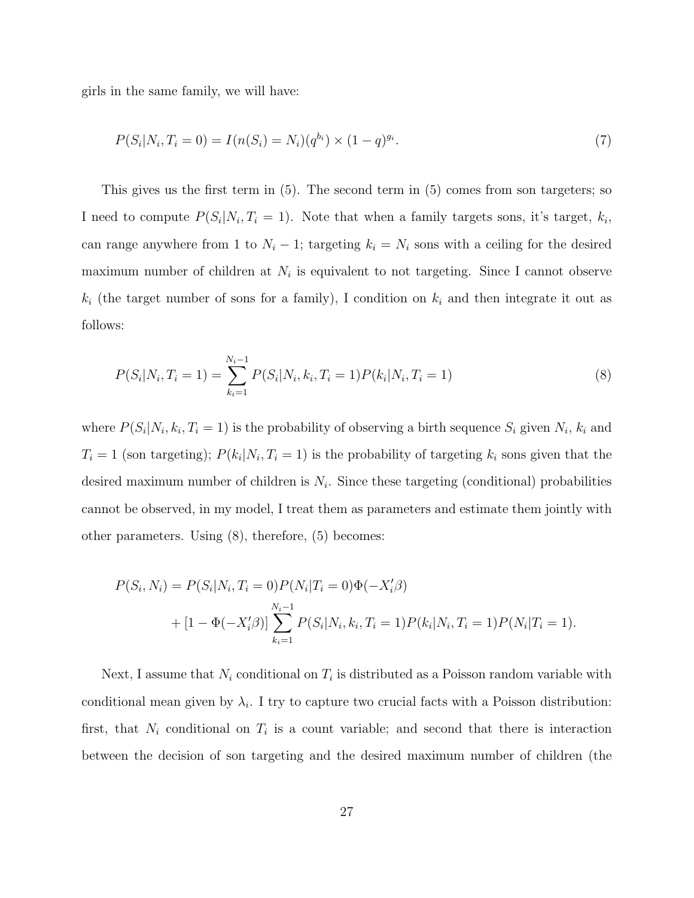girls in the same family, we will have:

$$
P(S_i|N_i, T_i = 0) = I(n(S_i) = N_i)(q^{b_i}) \times (1 - q)^{g_i}.
$$
\n(7)

This gives us the first term in (5). The second term in (5) comes from son targeters; so I need to compute  $P(S_i|N_i,T_i=1)$ . Note that when a family targets sons, it's target,  $k_i$ , can range anywhere from 1 to  $N_i - 1$ ; targeting  $k_i = N_i$  sons with a ceiling for the desired maximum number of children at  $N_i$  is equivalent to not targeting. Since I cannot observe  $k_i$  (the target number of sons for a family), I condition on  $k_i$  and then integrate it out as follows:

$$
P(S_i|N_i, T_i = 1) = \sum_{k_i=1}^{N_i-1} P(S_i|N_i, k_i, T_i = 1) P(k_i|N_i, T_i = 1)
$$
\n(8)

where  $P(S_i|N_i, k_i, T_i = 1)$  is the probability of observing a birth sequence  $S_i$  given  $N_i$ ,  $k_i$  and  $T_i = 1$  (son targeting);  $P(k_i|N_i, T_i = 1)$  is the probability of targeting  $k_i$  sons given that the desired maximum number of children is  $N_i$ . Since these targeting (conditional) probabilities cannot be observed, in my model, I treat them as parameters and estimate them jointly with other parameters. Using (8), therefore, (5) becomes:

$$
P(S_i, N_i) = P(S_i | N_i, T_i = 0) P(N_i | T_i = 0) \Phi(-X_i' \beta)
$$
  
+ 
$$
[1 - \Phi(-X_i' \beta)] \sum_{k_i=1}^{N_i-1} P(S_i | N_i, k_i, T_i = 1) P(k_i | N_i, T_i = 1) P(N_i | T_i = 1).
$$

Next, I assume that  $N_i$  conditional on  $T_i$  is distributed as a Poisson random variable with conditional mean given by  $\lambda_i$ . I try to capture two crucial facts with a Poisson distribution: first, that  $N_i$  conditional on  $T_i$  is a count variable; and second that there is interaction between the decision of son targeting and the desired maximum number of children (the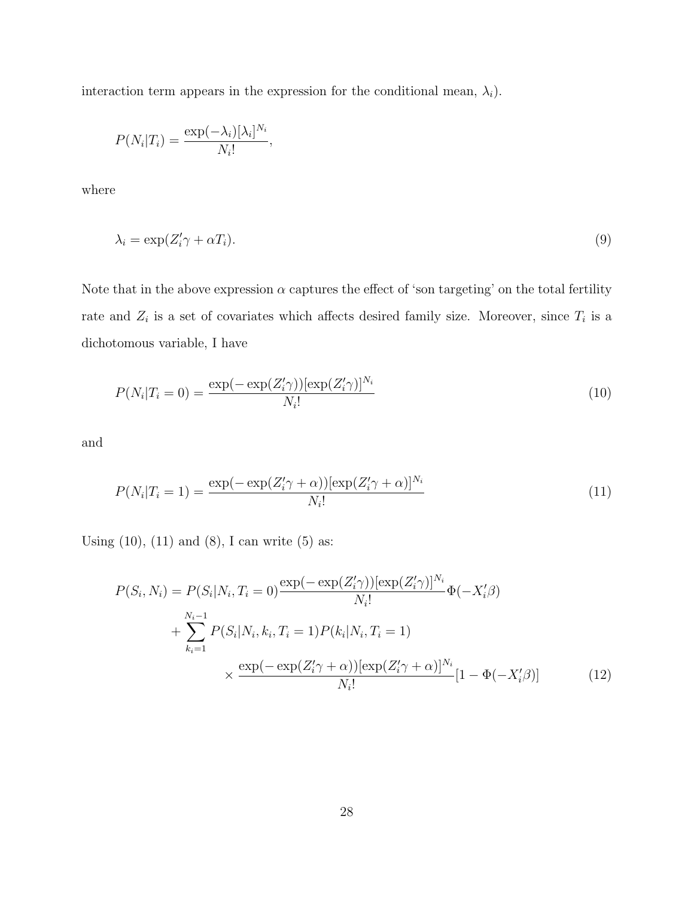interaction term appears in the expression for the conditional mean,  $\lambda_i$ ).

$$
P(N_i|T_i) = \frac{\exp(-\lambda_i)[\lambda_i]^{N_i}}{N_i!},
$$

where

$$
\lambda_i = \exp(Z_i' \gamma + \alpha T_i). \tag{9}
$$

Note that in the above expression  $\alpha$  captures the effect of 'son targeting' on the total fertility rate and  $Z_i$  is a set of covariates which affects desired family size. Moreover, since  $T_i$  is a dichotomous variable, I have

$$
P(N_i|T_i = 0) = \frac{\exp(-\exp(Z_i'\gamma))[\exp(Z_i'\gamma)]^{N_i}}{N_i!}
$$
\n(10)

and

$$
P(N_i|T_i=1) = \frac{\exp(-\exp(Z_i'\gamma + \alpha))[\exp(Z_i'\gamma + \alpha)]^{N_i}}{N_i!}
$$
\n(11)

Using  $(10)$ ,  $(11)$  and  $(8)$ , I can write  $(5)$  as:

$$
P(S_i, N_i) = P(S_i|N_i, T_i = 0) \frac{\exp(-\exp(Z_i \gamma))[\exp(Z_i \gamma)]^{N_i}}{N_i!} \Phi(-X_i \beta)
$$
  
+ 
$$
\sum_{k_i=1}^{N_i-1} P(S_i|N_i, k_i, T_i = 1) P(k_i|N_i, T_i = 1)
$$
  
 
$$
\times \frac{\exp(-\exp(Z_i' \gamma + \alpha))[\exp(Z_i' \gamma + \alpha)]^{N_i}}{N_i!} [1 - \Phi(-X_i' \beta)] \tag{12}
$$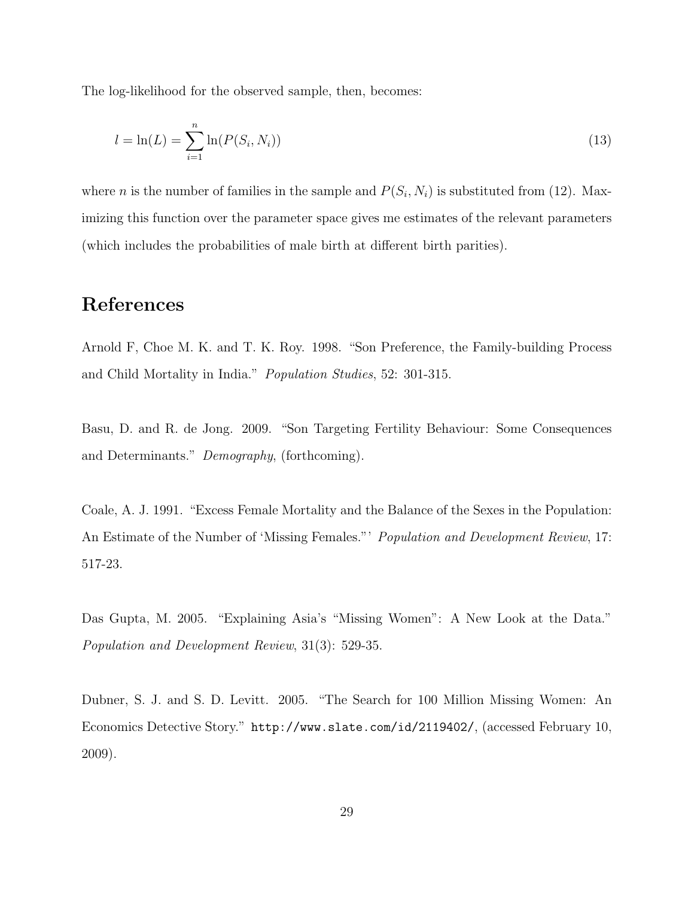The log-likelihood for the observed sample, then, becomes:

$$
l = \ln(L) = \sum_{i=1}^{n} \ln(P(S_i, N_i))
$$
\n(13)

where *n* is the number of families in the sample and  $P(S_i, N_i)$  is substituted from (12). Maximizing this function over the parameter space gives me estimates of the relevant parameters (which includes the probabilities of male birth at different birth parities).

### References

Arnold F, Choe M. K. and T. K. Roy. 1998. "Son Preference, the Family-building Process and Child Mortality in India." Population Studies, 52: 301-315.

Basu, D. and R. de Jong. 2009. "Son Targeting Fertility Behaviour: Some Consequences and Determinants." Demography, (forthcoming).

Coale, A. J. 1991. "Excess Female Mortality and the Balance of the Sexes in the Population: An Estimate of the Number of 'Missing Females."' Population and Development Review, 17: 517-23.

Das Gupta, M. 2005. "Explaining Asia's "Missing Women": A New Look at the Data." Population and Development Review, 31(3): 529-35.

Dubner, S. J. and S. D. Levitt. 2005. "The Search for 100 Million Missing Women: An Economics Detective Story." http://www.slate.com/id/2119402/, (accessed February 10, 2009).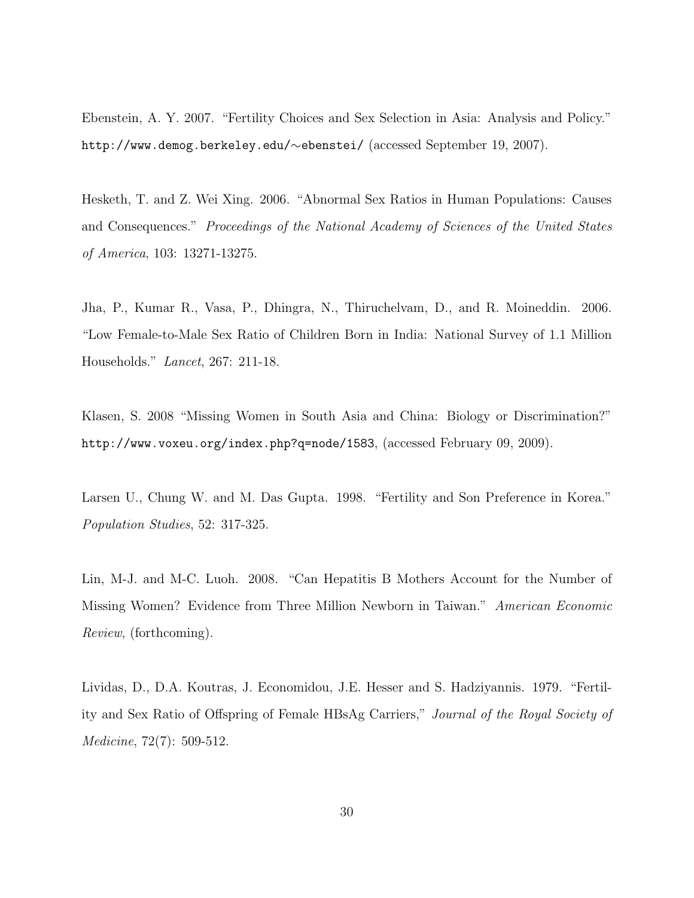Ebenstein, A. Y. 2007. "Fertility Choices and Sex Selection in Asia: Analysis and Policy." http://www.demog.berkeley.edu/∼ebenstei/ (accessed September 19, 2007).

Hesketh, T. and Z. Wei Xing. 2006. "Abnormal Sex Ratios in Human Populations: Causes and Consequences." Proceedings of the National Academy of Sciences of the United States of America, 103: 13271-13275.

Jha, P., Kumar R., Vasa, P., Dhingra, N., Thiruchelvam, D., and R. Moineddin. 2006. "Low Female-to-Male Sex Ratio of Children Born in India: National Survey of 1.1 Million Households." Lancet, 267: 211-18.

Klasen, S. 2008 "Missing Women in South Asia and China: Biology or Discrimination?" http://www.voxeu.org/index.php?q=node/1583, (accessed February 09, 2009).

Larsen U., Chung W. and M. Das Gupta. 1998. "Fertility and Son Preference in Korea." Population Studies, 52: 317-325.

Lin, M-J. and M-C. Luoh. 2008. "Can Hepatitis B Mothers Account for the Number of Missing Women? Evidence from Three Million Newborn in Taiwan." American Economic Review, (forthcoming).

Lividas, D., D.A. Koutras, J. Economidou, J.E. Hesser and S. Hadziyannis. 1979. "Fertility and Sex Ratio of Offspring of Female HBsAg Carriers," Journal of the Royal Society of Medicine, 72(7): 509-512.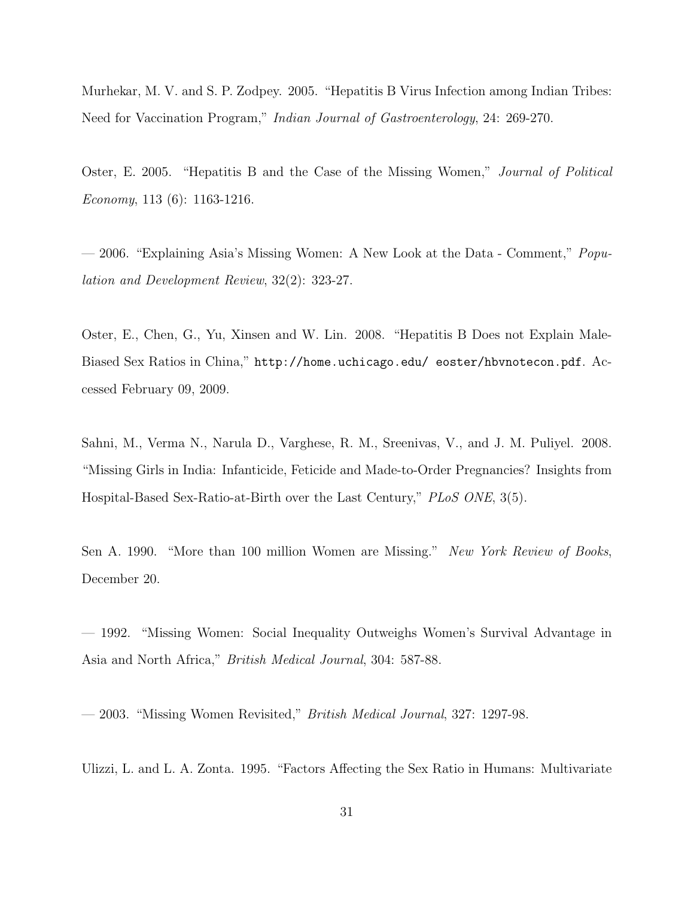Murhekar, M. V. and S. P. Zodpey. 2005. "Hepatitis B Virus Infection among Indian Tribes: Need for Vaccination Program," Indian Journal of Gastroenterology, 24: 269-270.

Oster, E. 2005. "Hepatitis B and the Case of the Missing Women," Journal of Political Economy, 113 (6): 1163-1216.

— 2006. "Explaining Asia's Missing Women: A New Look at the Data - Comment," Population and Development Review, 32(2): 323-27.

Oster, E., Chen, G., Yu, Xinsen and W. Lin. 2008. "Hepatitis B Does not Explain Male-Biased Sex Ratios in China," http://home.uchicago.edu/ eoster/hbvnotecon.pdf. Accessed February 09, 2009.

Sahni, M., Verma N., Narula D., Varghese, R. M., Sreenivas, V., and J. M. Puliyel. 2008. "Missing Girls in India: Infanticide, Feticide and Made-to-Order Pregnancies? Insights from Hospital-Based Sex-Ratio-at-Birth over the Last Century," PLoS ONE, 3(5).

Sen A. 1990. "More than 100 million Women are Missing." New York Review of Books, December 20.

— 1992. "Missing Women: Social Inequality Outweighs Women's Survival Advantage in Asia and North Africa," British Medical Journal, 304: 587-88.

— 2003. "Missing Women Revisited," British Medical Journal, 327: 1297-98.

Ulizzi, L. and L. A. Zonta. 1995. "Factors Affecting the Sex Ratio in Humans: Multivariate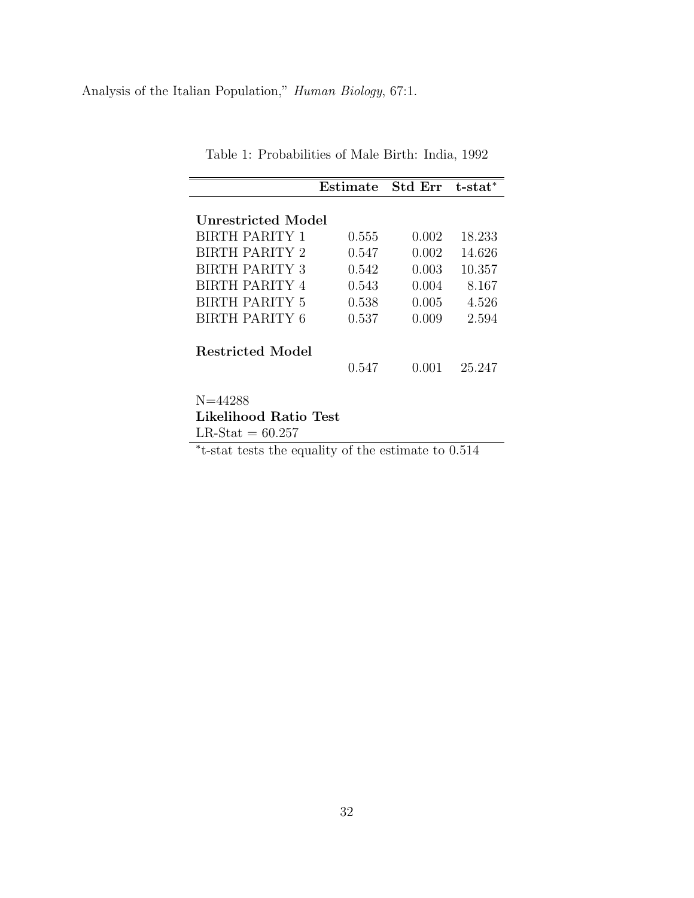Analysis of the Italian Population," Human Biology, 67:1.

|                                      | ${\rm Estimate}$ | <b>Std Err</b> | $t$ -sta $t^*$ |
|--------------------------------------|------------------|----------------|----------------|
| Unrestricted Model                   |                  |                |                |
| <b>BIRTH PARITY 1</b>                | 0.555            | 0.002          | 18.233         |
| <b>BIRTH PARITY 2</b>                | 0.547            | 0.002          | 14.626         |
| <b>BIRTH PARITY 3</b>                | 0.542            | 0.003          | 10.357         |
| <b>BIRTH PARITY 4</b>                | 0.543            | 0.004          | 8.167          |
| <b>BIRTH PARITY 5</b>                | 0.538            | 0.005          | 4.526          |
| BIRTH PARITY 6                       | 0.537            | 0.009          | 2.594          |
| Restricted Model                     | 0.547            | 0.001          | 25.247         |
| $N = 44288$<br>Likelihood Ratio Test |                  |                |                |

Table 1: Probabilities of Male Birth: India, 1992

Likelihood Ratio Test  $LR\text{-}Stat = 60.257$ 

∗ t-stat tests the equality of the estimate to 0.514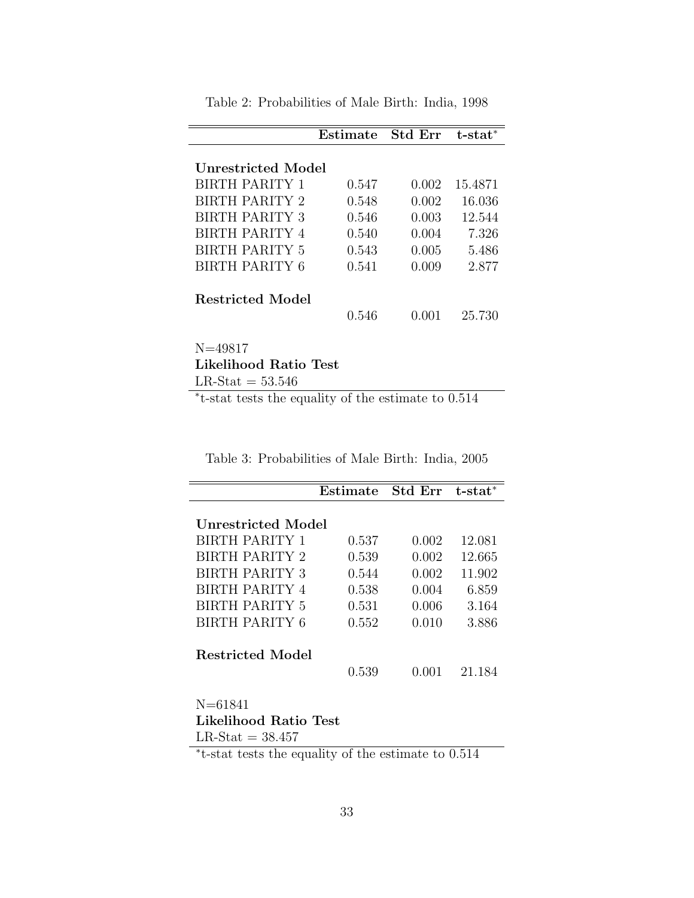|                       | Estimate | <b>Std Err</b> | $t$ -stat $*$ |  |
|-----------------------|----------|----------------|---------------|--|
| Unrestricted Model    |          |                |               |  |
| <b>BIRTH PARITY 1</b> | 0.547    | 0.002          | 15.4871       |  |
| BIRTH PARITY 2        | 0.548    | 0.002          | 16.036        |  |
| <b>BIRTH PARITY 3</b> | 0.546    | 0.003          | 12.544        |  |
| <b>BIRTH PARITY 4</b> | 0.540    | 0.004          | 7.326         |  |
| <b>BIRTH PARITY 5</b> | 0.543    | 0.005          | 5.486         |  |
| <b>BIRTH PARITY 6</b> | 0.541    | 0.009          | 2.877         |  |
| Restricted Model      |          |                |               |  |
|                       | 0.546    | 0.001          | 25.730        |  |
| $N = 49817$           |          |                |               |  |
| Likelihood Ratio Test |          |                |               |  |

Table 2: Probabilities of Male Birth: India, 1998

 $\mathrm{LR\text{-}Stat} = 53.546$ 

∗ t-stat tests the equality of the estimate to 0.514

Table 3: Probabilities of Male Birth: India, 2005

|                         | ${\rm Estimate}$ | <b>Std Err</b> | t-stat* |
|-------------------------|------------------|----------------|---------|
| Unrestricted Model      |                  |                |         |
| <b>BIRTH PARITY 1</b>   | 0.537            | 0.002          | 12.081  |
| BIRTH PARITY 2          | 0.539            | 0.002          | 12.665  |
| <b>BIRTH PARITY 3</b>   | 0.544            | 0.002          | 11.902  |
| <b>BIRTH PARITY 4</b>   | 0.538            | 0.004          | 6.859   |
| <b>BIRTH PARITY 5</b>   | 0.531            | 0.006          | 3.164   |
| <b>BIRTH PARITY 6</b>   | 0.552            | 0.010          | 3.886   |
| <b>Restricted Model</b> | 0.539            | 0.001          | 21.184  |
| N=61841                 |                  |                |         |
| Likelihood Ratio Test   |                  |                |         |

 $LR-Stat = 38.457$ 

∗ t-stat tests the equality of the estimate to 0.514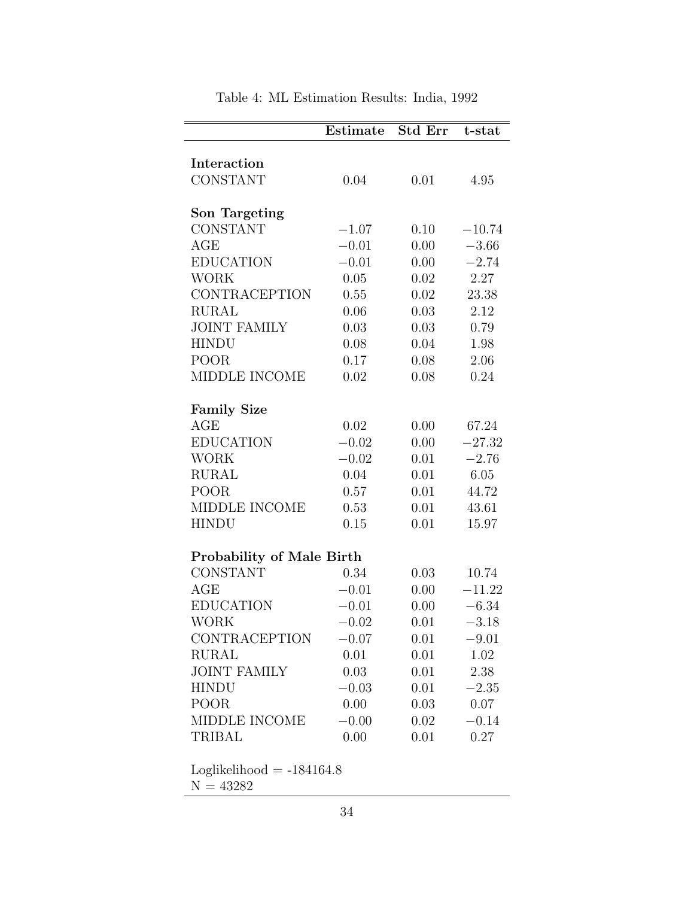|                                  | Estimate | <b>Std Err</b> | t-stat   |  |
|----------------------------------|----------|----------------|----------|--|
|                                  |          |                |          |  |
| Interaction                      |          |                |          |  |
| <b>CONSTANT</b>                  | 0.04     | 0.01           | 4.95     |  |
|                                  |          |                |          |  |
| Son Targeting                    |          |                |          |  |
| <b>CONSTANT</b>                  | $-1.07$  | 0.10           | $-10.74$ |  |
| AGE                              | $-0.01$  | 0.00           | $-3.66$  |  |
| <b>EDUCATION</b>                 | $-0.01$  | 0.00           | $-2.74$  |  |
| <b>WORK</b>                      | 0.05     | 0.02           | 2.27     |  |
| <b>CONTRACEPTION</b>             | 0.55     | 0.02           | 23.38    |  |
| <b>RURAL</b>                     | 0.06     | 0.03           | 2.12     |  |
| <b>JOINT FAMILY</b>              | 0.03     | 0.03           | 0.79     |  |
| <b>HINDU</b>                     | 0.08     | 0.04           | 1.98     |  |
| POOR <sub>.</sub>                | 0.17     | 0.08           | 2.06     |  |
| MIDDLE INCOME                    | 0.02     | 0.08           | 0.24     |  |
| <b>Family Size</b>               |          |                |          |  |
| AGE                              | 0.02     | 0.00           | 67.24    |  |
| <b>EDUCATION</b>                 | $-0.02$  | 0.00           | $-27.32$ |  |
| <b>WORK</b>                      | $-0.02$  | 0.01           | $-2.76$  |  |
| <b>RURAL</b>                     | 0.04     | 0.01           | 6.05     |  |
| POOR                             | 0.57     | 0.01           | 44.72    |  |
| MIDDLE INCOME                    | 0.53     | 0.01           | 43.61    |  |
| <b>HINDU</b>                     | 0.15     | 0.01           | 15.97    |  |
|                                  |          |                |          |  |
| <b>Probability of Male Birth</b> |          |                |          |  |
| <b>CONSTANT</b>                  | 0.34     | 0.03           | 10.74    |  |
| AGE                              | $-0.01$  | 0.00           | $-11.22$ |  |
| <b>EDUCATION</b>                 | $-0.01$  | 0.00           | $-6.34$  |  |
| <b>WORK</b>                      | $-0.02$  | 0.01           | $-3.18$  |  |
| CONTRACEPTION                    | $-0.07$  | 0.01           | $-9.01$  |  |
| <b>RURAL</b>                     | 0.01     | 0.01           | 1.02     |  |
| <b>JOINT FAMILY</b>              | 0.03     | 0.01           | 2.38     |  |
| <b>HINDU</b>                     | $-0.03$  | 0.01           | $-2.35$  |  |
| POOR                             | 0.00     | 0.03           | 0.07     |  |
| MIDDLE INCOME                    | $-0.00$  | 0.02           | $-0.14$  |  |
| <b>TRIBAL</b>                    | 0.00     | 0.01           | 0.27     |  |
|                                  |          |                |          |  |

Table 4: ML Estimation Results: India, 1992

 $Loglikelihood = -184164.8$ 

 $\mathrm{N}=43282$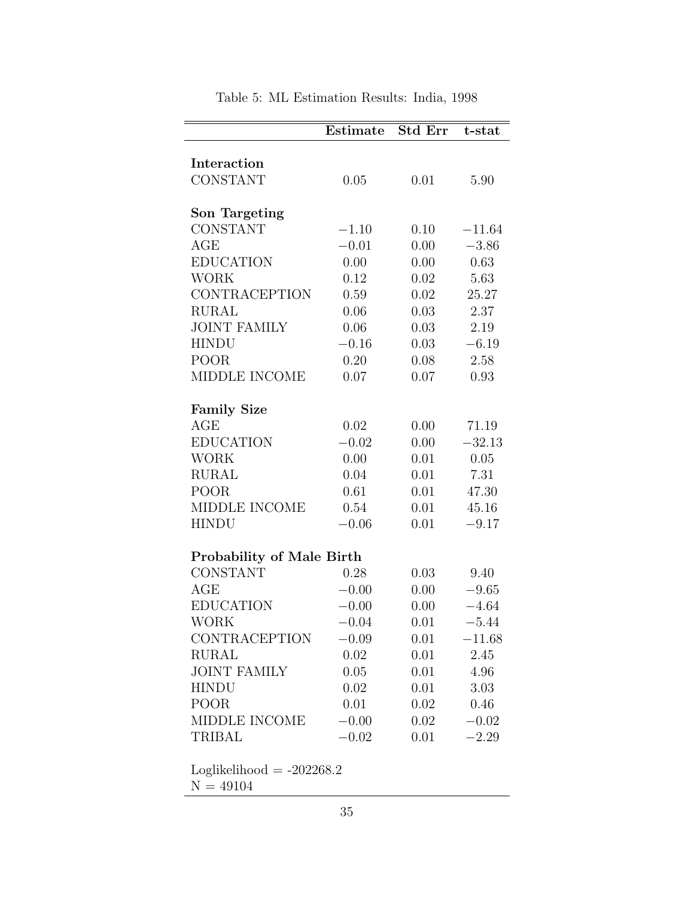|                                                     | Estimate        | <b>Std Err</b> | t-stat          |  |
|-----------------------------------------------------|-----------------|----------------|-----------------|--|
| Interaction                                         |                 |                |                 |  |
| <b>CONSTANT</b>                                     | 0.05            | 0.01           | 5.90            |  |
|                                                     |                 |                |                 |  |
| Son Targeting                                       |                 |                |                 |  |
| <b>CONSTANT</b>                                     | $-1.10$         | 0.10           | $-11.64$        |  |
| AGE                                                 | $-0.01$         | 0.00           | $-3.86$         |  |
| <b>EDUCATION</b>                                    | 0.00            | 0.00           | 0.63            |  |
| WORK                                                | 0.12            | 0.02           | 5.63            |  |
| <b>CONTRACEPTION</b>                                | $0.59\,$        | 0.02           | 25.27           |  |
| <b>RURAL</b>                                        | 0.06            | 0.03           | 2.37            |  |
| <b>JOINT FAMILY</b>                                 | 0.06            | 0.03           | 2.19            |  |
| <b>HINDU</b>                                        | $-0.16$         | 0.03           | $-6.19$         |  |
| POOR <sub>.</sub>                                   | 0.20            | 0.08           | 2.58            |  |
| MIDDLE INCOME                                       | 0.07            | 0.07           | 0.93            |  |
|                                                     |                 |                |                 |  |
| <b>Family Size</b>                                  |                 |                |                 |  |
| AGE                                                 | $0.02\,$        | 0.00           | 71.19           |  |
| <b>EDUCATION</b>                                    | $-0.02$         | 0.00           | $-32.13$        |  |
| <b>WORK</b>                                         | 0.00            | 0.01           | 0.05            |  |
| <b>RURAL</b>                                        | 0.04            | 0.01           | 7.31            |  |
| POOR                                                | 0.61            | 0.01           | 47.30           |  |
| MIDDLE INCOME                                       | 0.54            | 0.01           | 45.16           |  |
| <b>HINDU</b>                                        | $-0.06$         | 0.01           | $-9.17$         |  |
|                                                     |                 |                |                 |  |
| <b>Probability of Male Birth</b><br><b>CONSTANT</b> |                 |                |                 |  |
| AGE                                                 | 0.28<br>$-0.00$ | 0.03<br>0.00   | 9.40<br>$-9.65$ |  |
| <b>EDUCATION</b>                                    | $-0.00$         | 0.00           | $-4.64$         |  |
| <b>WORK</b>                                         | $-0.04$         | 0.01           | $-5.44$         |  |
| CONTRACEPTION                                       |                 |                | $-11.68$        |  |
| <b>RURAL</b>                                        | $-0.09$<br>0.02 | 0.01<br>0.01   | 2.45            |  |
|                                                     | 0.05            |                |                 |  |
| <b>JOINT FAMILY</b>                                 |                 | 0.01<br>0.01   | 4.96            |  |
| <b>HINDU</b><br><b>POOR</b>                         | 0.02            |                | 3.03            |  |
|                                                     | 0.01            | 0.02           | 0.46            |  |
| MIDDLE INCOME                                       | $-0.00$         | 0.02           | $-0.02$         |  |
| TRIBAL                                              | $-0.02$         | 0.01           | $-2.29$         |  |

Table 5: ML Estimation Results: India, 1998

 $\mathcal{N}=49104$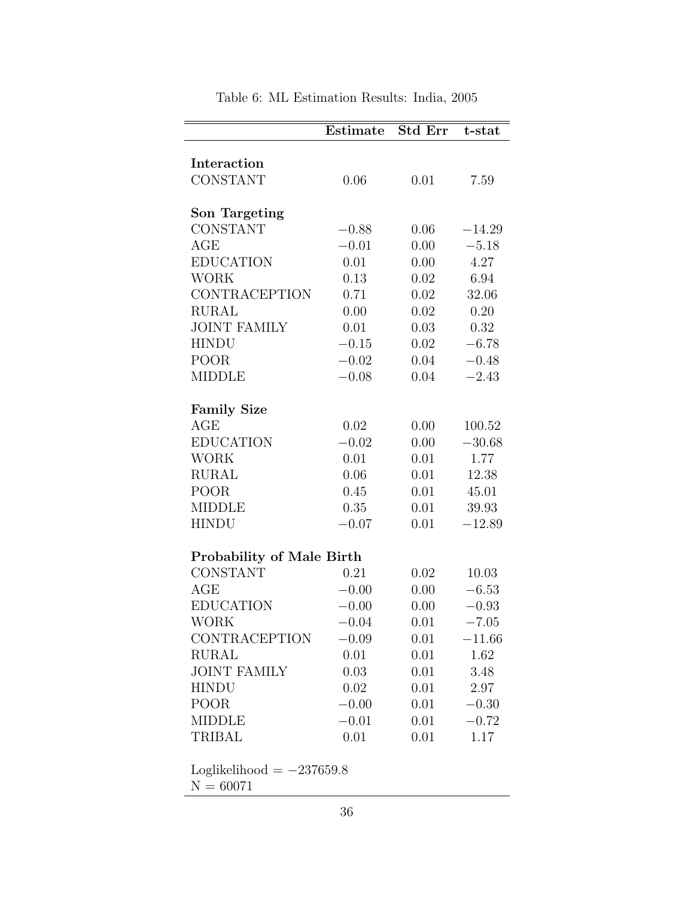|                                  | Estimate           | Std Err      | t-stat             |
|----------------------------------|--------------------|--------------|--------------------|
|                                  |                    |              |                    |
| Interaction                      |                    |              |                    |
| <b>CONSTANT</b>                  | 0.06               | 0.01         | 7.59               |
| Son Targeting                    |                    |              |                    |
| <b>CONSTANT</b>                  | $-0.88$            | 0.06         | $-14.29$           |
| AGE                              | $-0.01$            | 0.00         | $-5.18$            |
| <b>EDUCATION</b>                 | 0.01               | 0.00         | 4.27               |
| <b>WORK</b>                      | 0.13               | 0.02         | 6.94               |
| <b>CONTRACEPTION</b>             | 0.71               | 0.02         | 32.06              |
| <b>RURAL</b>                     | 0.00               | 0.02         | 0.20               |
| <b>JOINT FAMILY</b>              | 0.01               | 0.03         | 0.32               |
| <b>HINDU</b>                     | $-0.15$            | 0.02         | $-6.78$            |
| <b>POOR</b>                      | $-0.02$            | 0.04         | $-0.48$            |
| <b>MIDDLE</b>                    | $-0.08$            | 0.04         | $-2.43$            |
|                                  |                    |              |                    |
| <b>Family Size</b>               |                    |              |                    |
| AGE                              | 0.02               | 0.00         | 100.52             |
| <b>EDUCATION</b>                 | $-0.02$            | 0.00         | $-30.68$           |
| <b>WORK</b>                      | 0.01               | 0.01         | 1.77               |
| <b>RURAL</b>                     | 0.06               | 0.01         | 12.38              |
| <b>POOR</b>                      | 0.45               | 0.01         | 45.01              |
| <b>MIDDLE</b>                    | 0.35               | 0.01         | 39.93              |
| <b>HINDU</b>                     | $-0.07$            | 0.01         | $-12.89$           |
|                                  |                    |              |                    |
| <b>Probability of Male Birth</b> |                    |              |                    |
| <b>CONSTANT</b><br>AGE           | 0.21               | 0.02         | 10.03              |
| <b>EDUCATION</b>                 | $-0.00$            | 0.00         | $-6.53$            |
| <b>WORK</b>                      | $-0.00$<br>$-0.04$ | 0.00<br>0.01 | $-0.93$<br>$-7.05$ |
| <b>CONTRACEPTION</b>             |                    |              |                    |
| RURAL                            | $-0.09$<br>0.01    | 0.01<br>0.01 | $-11.66$<br>1.62   |
| <b>JOINT FAMILY</b>              |                    |              |                    |
| <b>HINDU</b>                     | 0.03               | 0.01         | 3.48               |
| <b>POOR</b>                      | 0.02               | 0.01         | 2.97               |
| <b>MIDDLE</b>                    | $-0.00$<br>$-0.01$ | 0.01<br>0.01 | $-0.30$<br>$-0.72$ |
| <b>TRIBAL</b>                    | 0.01               | 0.01         | 1.17               |
|                                  |                    |              |                    |
| Loglikelihood $= -237659.8$      |                    |              |                    |

Table 6: ML Estimation Results: India, 2005

36

 $N = 60071$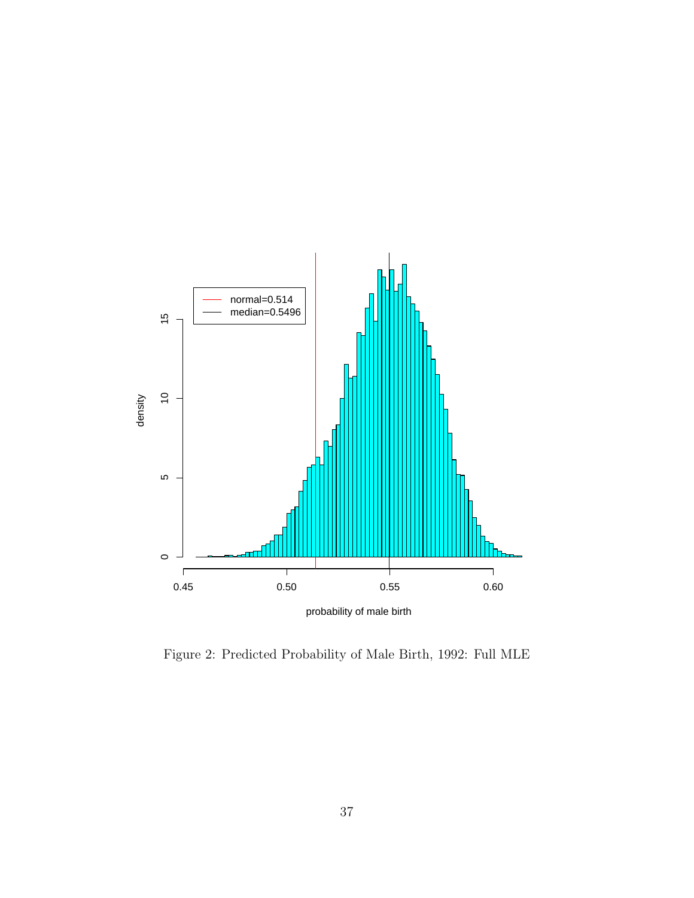

Figure 2: Predicted Probability of Male Birth, 1992: Full MLE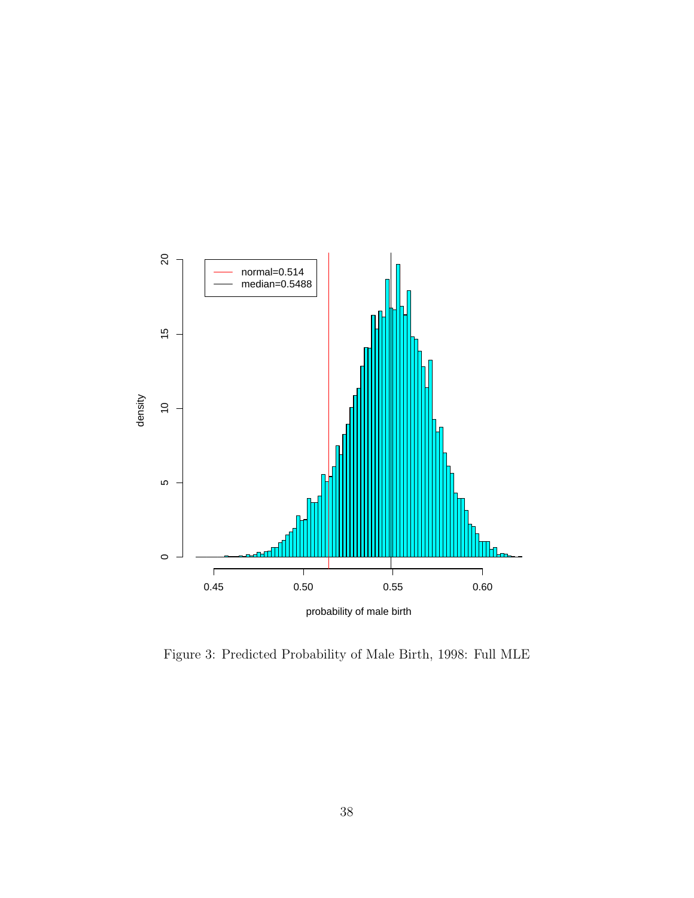

Figure 3: Predicted Probability of Male Birth, 1998: Full MLE